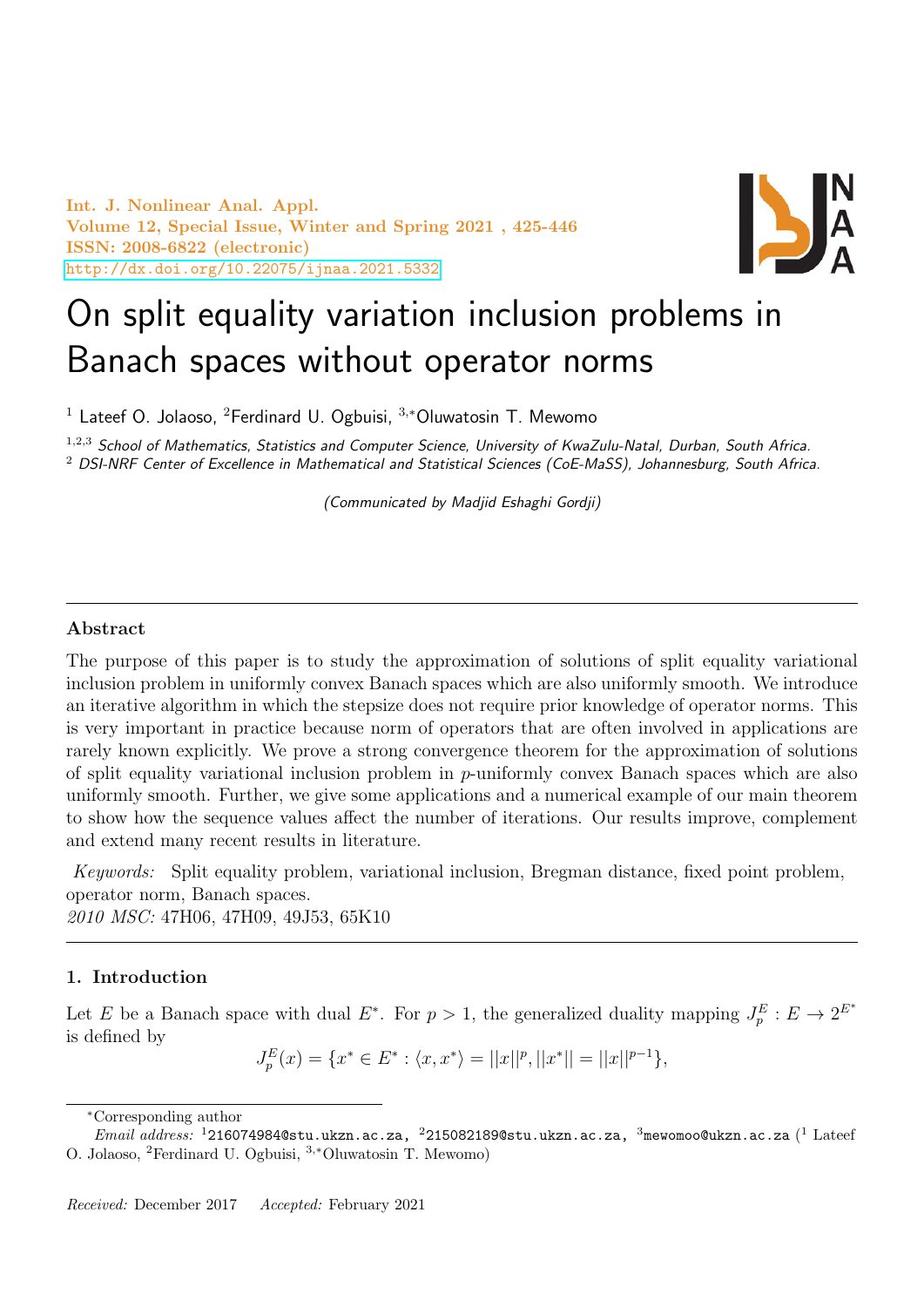Int. J. Nonlinear Anal. Appl. Volume 12, Special Issue, Winter and Spring 2021 , 425-446 ISSN: 2008-6822 (electronic) <http://dx.doi.org/10.22075/ijnaa.2021.5332>



# On split equality variation inclusion problems in Banach spaces without operator norms

<sup>1</sup> Lateef O. Jolaoso, <sup>2</sup>Ferdinard U. Ogbuisi,  $3,*$ Oluwatosin T. Mewomo

 $1,2,3$  School of Mathematics, Statistics and Computer Science, University of KwaZulu-Natal, Durban, South Africa. <sup>2</sup> DSI-NRF Center of Excellence in Mathematical and Statistical Sciences (CoE-MaSS), Johannesburg, South Africa.

(Communicated by Madjid Eshaghi Gordji)

# Abstract

The purpose of this paper is to study the approximation of solutions of split equality variational inclusion problem in uniformly convex Banach spaces which are also uniformly smooth. We introduce an iterative algorithm in which the stepsize does not require prior knowledge of operator norms. This is very important in practice because norm of operators that are often involved in applications are rarely known explicitly. We prove a strong convergence theorem for the approximation of solutions of split equality variational inclusion problem in  $p$ -uniformly convex Banach spaces which are also uniformly smooth. Further, we give some applications and a numerical example of our main theorem to show how the sequence values affect the number of iterations. Our results improve, complement and extend many recent results in literature.

Keywords: Split equality problem, variational inclusion, Bregman distance, fixed point problem, operator norm, Banach spaces. 2010 MSC: 47H06, 47H09, 49J53, 65K10

# 1. Introduction

Let E be a Banach space with dual E<sup>\*</sup>. For  $p > 1$ , the generalized duality mapping  $J_p^E : E \to 2^{E^*}$ is defined by

$$
J_p^E(x) = \{x^* \in E^* : \langle x, x^* \rangle = ||x||^p, ||x^*|| = ||x||^{p-1}\},\
$$

<sup>∗</sup>Corresponding author

 $\emph{Email address: }\;^1$ 216074984@stu.ukzn.ac.za,  $\,{}^2$ 215082189@stu.ukzn.ac.za,  $\,{}^3$ mewomoo@ukzn.ac.za  $( ^1$   $\rm{Later}$ O. Jolaoso, <sup>2</sup>Ferdinard U. Ogbuisi, <sup>3</sup>,∗Oluwatosin T. Mewomo)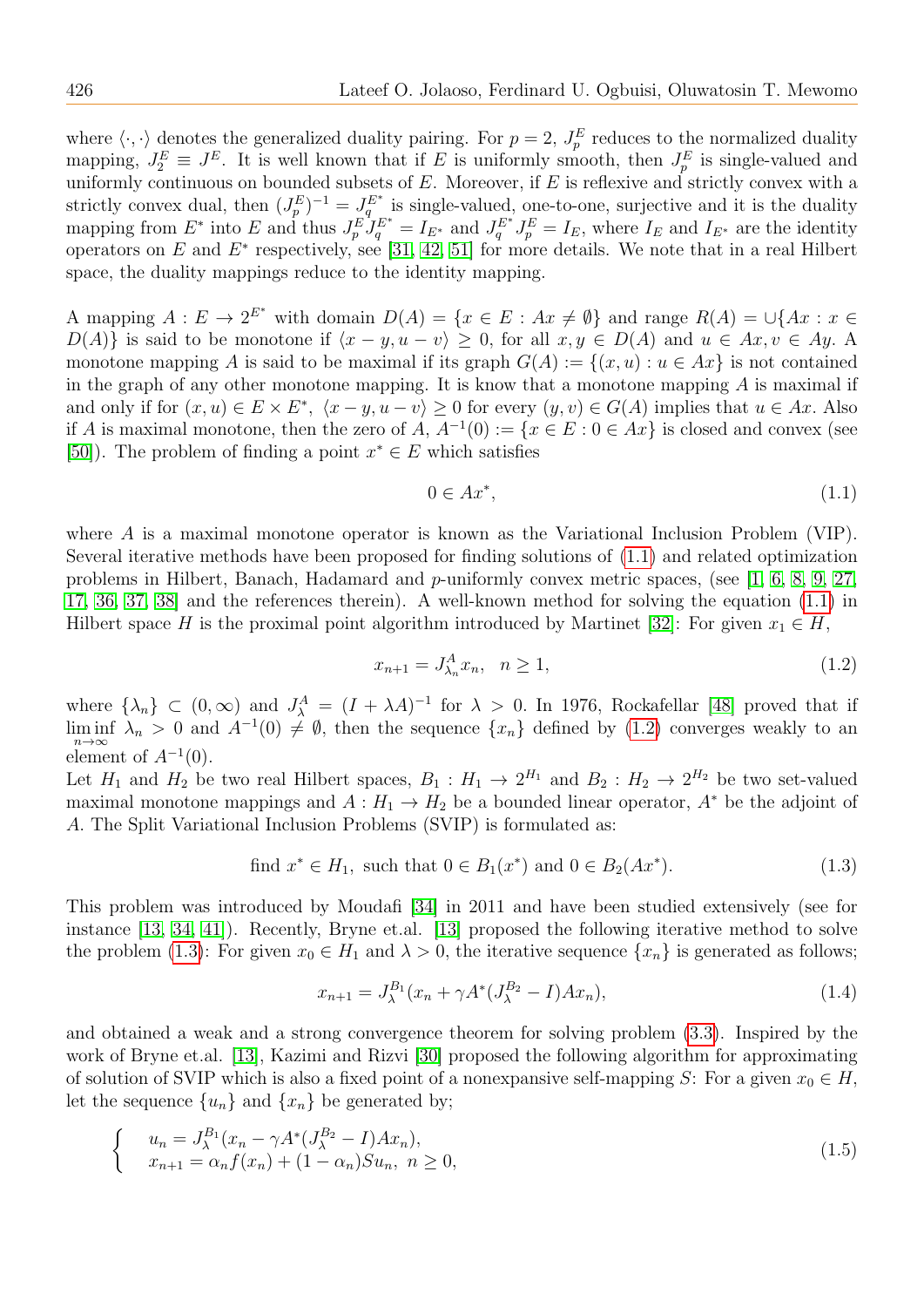where  $\langle \cdot, \cdot \rangle$  denotes the generalized duality pairing. For  $p = 2$ ,  $J_p^E$  reduces to the normalized duality mapping,  $J_2^E \equiv J^E$ . It is well known that if E is uniformly smooth, then  $J_p^E$  is single-valued and uniformly continuous on bounded subsets of  $E$ . Moreover, if  $E$  is reflexive and strictly convex with a strictly convex dual, then  $(J_p^E)^{-1} = J_q^{E^*}$  is single-valued, one-to-one, surjective and it is the duality mapping from  $E^*$  into E and thus  $J_p^E J_q^{E^*} = I_{E^*}$  and  $J_q^{E^*} J_p^E = I_E$ , where  $I_E$  and  $I_{E^*}$  are the identity operators on E and  $E^*$  respectively, see [\[31,](#page-20-0) [42,](#page-20-1) [51\]](#page-21-0) for more details. We note that in a real Hilbert space, the duality mappings reduce to the identity mapping.

A mapping  $A: E \to 2^{E^*}$  with domain  $D(A) = \{x \in E: Ax \neq \emptyset\}$  and range  $R(A) = \bigcup \{Ax : x \in \Omega\}$  $D(A)$  is said to be monotone if  $\langle x - y, u - v \rangle \geq 0$ , for all  $x, y \in D(A)$  and  $u \in Ax, v \in Ay$ . A monotone mapping A is said to be maximal if its graph  $G(A) := \{(x, u) : u \in Ax\}$  is not contained in the graph of any other monotone mapping. It is know that a monotone mapping  $A$  is maximal if and only if for  $(x, u) \in E \times E^*$ ,  $\langle x - y, u - v \rangle \ge 0$  for every  $(y, v) \in G(A)$  implies that  $u \in Ax$ . Also if A is maximal monotone, then the zero of A,  $A^{-1}(0) := \{x \in E : 0 \in Ax\}$  is closed and convex (see [\[50\]](#page-21-1)). The problem of finding a point  $x^* \in E$  which satisfies

<span id="page-1-0"></span>
$$
0 \in Ax^*,\tag{1.1}
$$

where A is a maximal monotone operator is known as the Variational Inclusion Problem (VIP). Several iterative methods have been proposed for finding solutions of [\(1.1\)](#page-1-0) and related optimization problems in Hilbert, Banach, Hadamard and p-uniformly convex metric spaces, (see [\[1,](#page-19-0) [6,](#page-19-1) [8,](#page-19-2) [9,](#page-19-3) [27,](#page-20-2) [17,](#page-19-4) [36,](#page-20-3) [37,](#page-20-4) [38\]](#page-20-5) and the references therein). A well-known method for solving the equation [\(1.1\)](#page-1-0) in Hilbert space H is the proximal point algorithm introduced by Martinet [\[32\]](#page-20-6): For given  $x_1 \in H$ ,

<span id="page-1-1"></span>
$$
x_{n+1} = J_{\lambda_n}^A x_n, \quad n \ge 1,
$$
\n(1.2)

where  $\{\lambda_n\} \subset (0,\infty)$  and  $J^A_\lambda = (I + \lambda A)^{-1}$  for  $\lambda > 0$ . In 1976, Rockafellar [\[48\]](#page-20-7) proved that if  $\liminf_{n\to\infty} \lambda_n > 0$  and  $A^{-1}(0) \neq \emptyset$ , then the sequence  $\{x_n\}$  defined by  $(1.2)$  converges weakly to an element of  $A^{-1}(0)$ .

Let  $H_1$  and  $H_2$  be two real Hilbert spaces,  $B_1: H_1 \to 2^{H_1}$  and  $B_2: H_2 \to 2^{H_2}$  be two set-valued maximal monotone mappings and  $A: H_1 \to H_2$  be a bounded linear operator,  $A^*$  be the adjoint of A. The Split Variational Inclusion Problems (SVIP) is formulated as:

<span id="page-1-2"></span>find 
$$
x^* \in H_1
$$
, such that  $0 \in B_1(x^*)$  and  $0 \in B_2(Ax^*)$ . (1.3)

This problem was introduced by Moudafi [\[34\]](#page-20-8) in 2011 and have been studied extensively (see for instance [\[13,](#page-19-5) [34,](#page-20-8) [41\]](#page-20-9)). Recently, Bryne et.al. [\[13\]](#page-19-5) proposed the following iterative method to solve the problem [\(1.3\)](#page-1-2): For given  $x_0 \in H_1$  and  $\lambda > 0$ , the iterative sequence  $\{x_n\}$  is generated as follows;

$$
x_{n+1} = J_{\lambda}^{B_1}(x_n + \gamma A^*(J_{\lambda}^{B_2} - I)Ax_n),
$$
\n(1.4)

and obtained a weak and a strong convergence theorem for solving problem [\(3.3\)](#page-5-0). Inspired by the work of Bryne et.al. [\[13\]](#page-19-5), Kazimi and Rizvi [\[30\]](#page-20-10) proposed the following algorithm for approximating of solution of SVIP which is also a fixed point of a nonexpansive self-mapping S: For a given  $x_0 \in H$ , let the sequence  $\{u_n\}$  and  $\{x_n\}$  be generated by;

$$
\begin{cases}\n u_n = J_{\lambda}^{B_1}(x_n - \gamma A^*(J_{\lambda}^{B_2} - I)Ax_n), \\
 x_{n+1} = \alpha_n f(x_n) + (1 - \alpha_n)Su_n, \ n \ge 0,\n\end{cases}
$$
\n(1.5)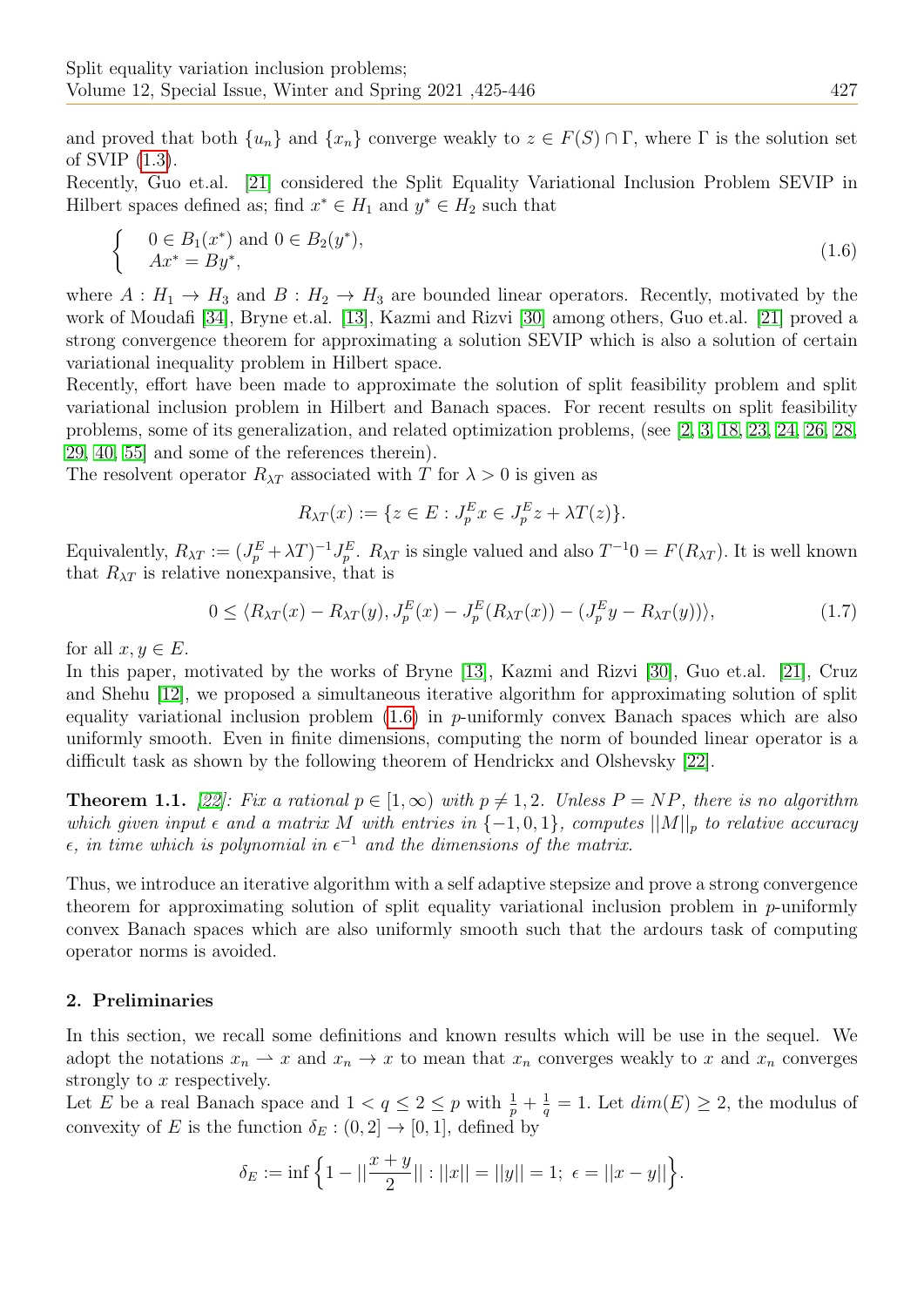and proved that both  $\{u_n\}$  and  $\{x_n\}$  converge weakly to  $z \in F(S) \cap \Gamma$ , where  $\Gamma$  is the solution set of SVIP [\(1.3\)](#page-1-2).

Recently, Guo et.al. [\[21\]](#page-19-6) considered the Split Equality Variational Inclusion Problem SEVIP in Hilbert spaces defined as; find  $x^* \in H_1$  and  $y^* \in H_2$  such that

<span id="page-2-0"></span>
$$
\begin{cases} 0 \in B_1(x^*) \text{ and } 0 \in B_2(y^*), \\ Ax^* = By^*, \end{cases}
$$
 (1.6)

where  $A: H_1 \to H_3$  and  $B: H_2 \to H_3$  are bounded linear operators. Recently, motivated by the work of Moudafi [\[34\]](#page-20-8), Bryne et.al. [\[13\]](#page-19-5), Kazmi and Rizvi [\[30\]](#page-20-10) among others, Guo et.al. [\[21\]](#page-19-6) proved a strong convergence theorem for approximating a solution SEVIP which is also a solution of certain variational inequality problem in Hilbert space.

Recently, effort have been made to approximate the solution of split feasibility problem and split variational inclusion problem in Hilbert and Banach spaces. For recent results on split feasibility problems, some of its generalization, and related optimization problems, (see [\[2,](#page-19-7) [3,](#page-19-8) [18,](#page-19-9) [23,](#page-19-10) [24,](#page-19-11) [26,](#page-20-11) [28,](#page-20-12) [29,](#page-20-13) [40,](#page-20-14) [55\]](#page-21-2) and some of the references therein).

The resolvent operator  $R_{\lambda T}$  associated with T for  $\lambda > 0$  is given as

$$
R_{\lambda T}(x) := \{ z \in E : J_p^E x \in J_p^E z + \lambda T(z) \}.
$$

Equivalently,  $R_{\lambda T} := (J_p^E + \lambda T)^{-1} J_p^E$ .  $R_{\lambda T}$  is single valued and also  $T^{-1}0 = F(R_{\lambda T})$ . It is well known that  $R_{\lambda T}$  is relative nonexpansive, that is

$$
0 \le \langle R_{\lambda T}(x) - R_{\lambda T}(y), J_p^E(x) - J_p^E(R_{\lambda T}(x)) - (J_p^E y - R_{\lambda T}(y)) \rangle, \tag{1.7}
$$

for all  $x, y \in E$ .

In this paper, motivated by the works of Bryne [\[13\]](#page-19-5), Kazmi and Rizvi [\[30\]](#page-20-10), Guo et.al. [\[21\]](#page-19-6), Cruz and Shehu [\[12\]](#page-19-12), we proposed a simultaneous iterative algorithm for approximating solution of split equality variational inclusion problem  $(1.6)$  in p-uniformly convex Banach spaces which are also uniformly smooth. Even in finite dimensions, computing the norm of bounded linear operator is a difficult task as shown by the following theorem of Hendrickx and Olshevsky [\[22\]](#page-19-13).

**Theorem 1.1.** [\[22\]](#page-19-13): Fix a rational  $p \in [1,\infty)$  with  $p \neq 1,2$ . Unless  $P = NP$ , there is no algorithm which given input  $\epsilon$  and a matrix M with entries in  $\{-1,0,1\}$ , computes  $||M||_p$  to relative accuracy  $\epsilon$ , in time which is polynomial in  $\epsilon^{-1}$  and the dimensions of the matrix.

Thus, we introduce an iterative algorithm with a self adaptive stepsize and prove a strong convergence theorem for approximating solution of split equality variational inclusion problem in  $p$ -uniformly convex Banach spaces which are also uniformly smooth such that the ardours task of computing operator norms is avoided.

# 2. Preliminaries

In this section, we recall some definitions and known results which will be use in the sequel. We adopt the notations  $x_n \rightharpoonup x$  and  $x_n \rightharpoonup x$  to mean that  $x_n$  converges weakly to x and  $x_n$  converges strongly to x respectively.

Let E be a real Banach space and  $1 < q \leq 2 \leq p$  with  $\frac{1}{p} + \frac{1}{q}$  $\frac{1}{q} = 1$ . Let  $dim(E) \geq 2$ , the modulus of convexity of E is the function  $\delta_E : (0, 2] \to [0, 1]$ , defined by

$$
\delta_E := \inf \left\{ 1 - ||\frac{x+y}{2}|| : ||x|| = ||y|| = 1; \ \epsilon = ||x - y|| \right\}.
$$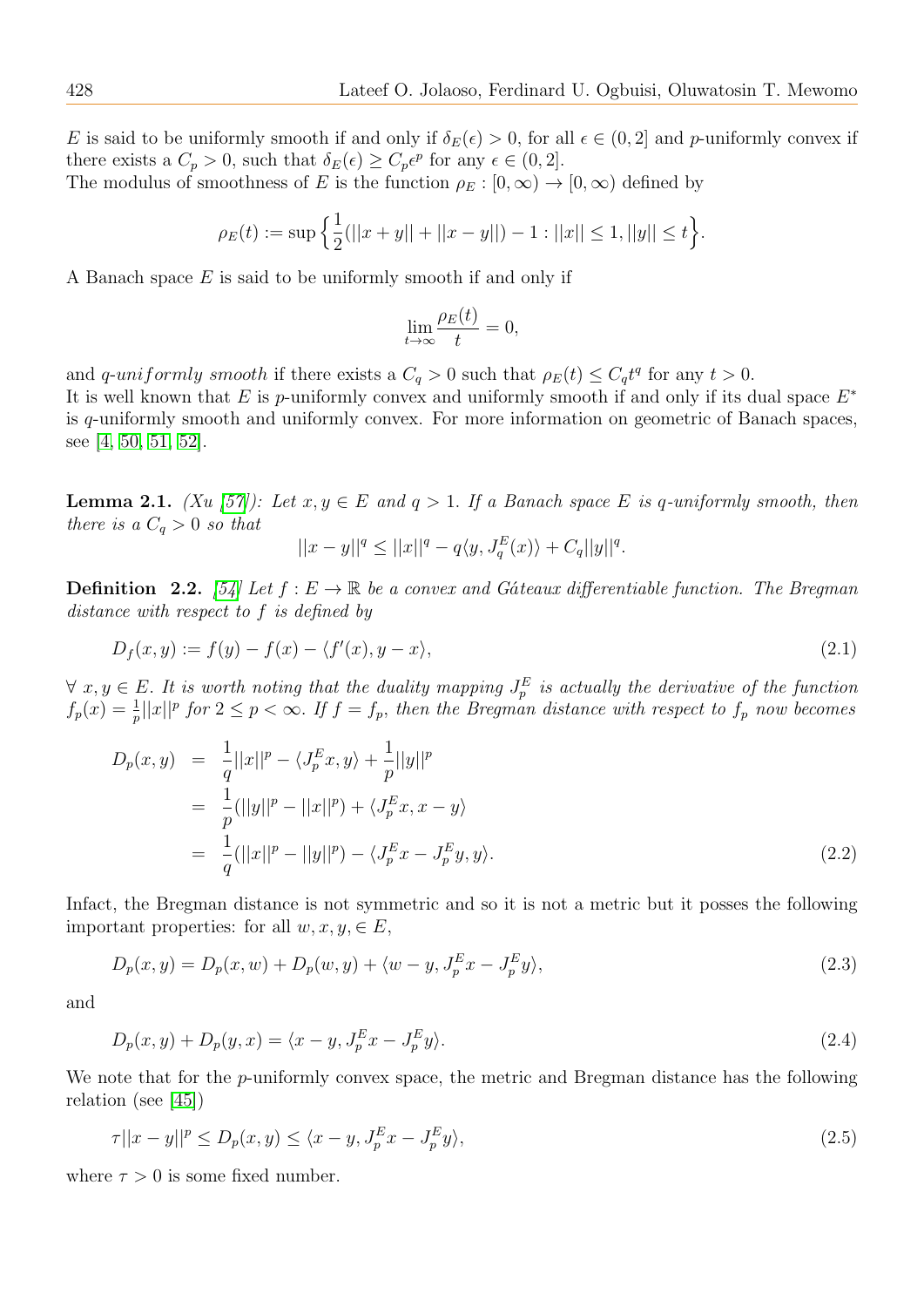E is said to be uniformly smooth if and only if  $\delta_E(\epsilon) > 0$ , for all  $\epsilon \in (0, 2]$  and p-uniformly convex if there exists a  $C_p > 0$ , such that  $\delta_E(\epsilon) \geq C_p \epsilon^p$  for any  $\epsilon \in (0, 2]$ . The modulus of smoothness of E is the function  $\rho_E : [0, \infty) \to [0, \infty)$  defined by

$$
\rho_E(t) := \sup \left\{ \frac{1}{2} (||x+y|| + ||x-y||) - 1 : ||x|| \le 1, ||y|| \le t \right\}.
$$

A Banach space E is said to be uniformly smooth if and only if

$$
\lim_{t \to \infty} \frac{\rho_E(t)}{t} = 0,
$$

and q-uniformly smooth if there exists a  $C_q > 0$  such that  $\rho_E(t) \leq C_q t^q$  for any  $t > 0$ . It is well known that  $E$  is p-uniformly convex and uniformly smooth if and only if its dual space  $E^*$ is q-uniformly smooth and uniformly convex. For more information on geometric of Banach spaces, see [\[4,](#page-19-14) [50,](#page-21-1) [51,](#page-21-0) [52\]](#page-21-3).

**Lemma 2.1.** (Xu [\[57\]](#page-21-4)): Let  $x, y \in E$  and  $q > 1$ . If a Banach space E is q-uniformly smooth, then there is a  $C_q > 0$  so that

$$
||x - y||^{q} \le ||x||^{q} - q\langle y, J_q^{E}(x) \rangle + C_q ||y||^{q}.
$$

**Definition** 2.2. [\[54\]](#page-21-5) Let  $f : E \to \mathbb{R}$  be a convex and Gáteaux differentiable function. The Bregman distance with respect to f is defined by

$$
D_f(x,y) := f(y) - f(x) - \langle f'(x), y - x \rangle,
$$
\n
$$
(2.1)
$$

 $\forall x, y \in E$ . It is worth noting that the duality mapping  $J_p^E$  is actually the derivative of the function  $f_p(x) = \frac{1}{p} ||x||^p$  for  $2 \le p < \infty$ . If  $f = f_p$ , then the Bregman distance with respect to  $f_p$  now becomes

$$
D_p(x, y) = \frac{1}{q} ||x||^p - \langle J_p^E x, y \rangle + \frac{1}{p} ||y||^p
$$
  
= 
$$
\frac{1}{p} (||y||^p - ||x||^p) + \langle J_p^E x, x - y \rangle
$$
  
= 
$$
\frac{1}{q} (||x||^p - ||y||^p) - \langle J_p^E x - J_p^E y, y \rangle.
$$
 (2.2)

Infact, the Bregman distance is not symmetric and so it is not a metric but it posses the following important properties: for all  $w, x, y \in E$ ,

$$
D_p(x, y) = D_p(x, w) + D_p(w, y) + \langle w - y, J_p^E x - J_p^E y \rangle,
$$
\n(2.3)

and

$$
D_p(x, y) + D_p(y, x) = \langle x - y, J_p^E x - J_p^E y \rangle.
$$
\n(2.4)

We note that for the *p*-uniformly convex space, the metric and Bregman distance has the following relation (see [\[45\]](#page-20-15))

$$
\tau ||x - y||^p \le D_p(x, y) \le \langle x - y, J_p^E x - J_p^E y \rangle, \tag{2.5}
$$

where  $\tau > 0$  is some fixed number.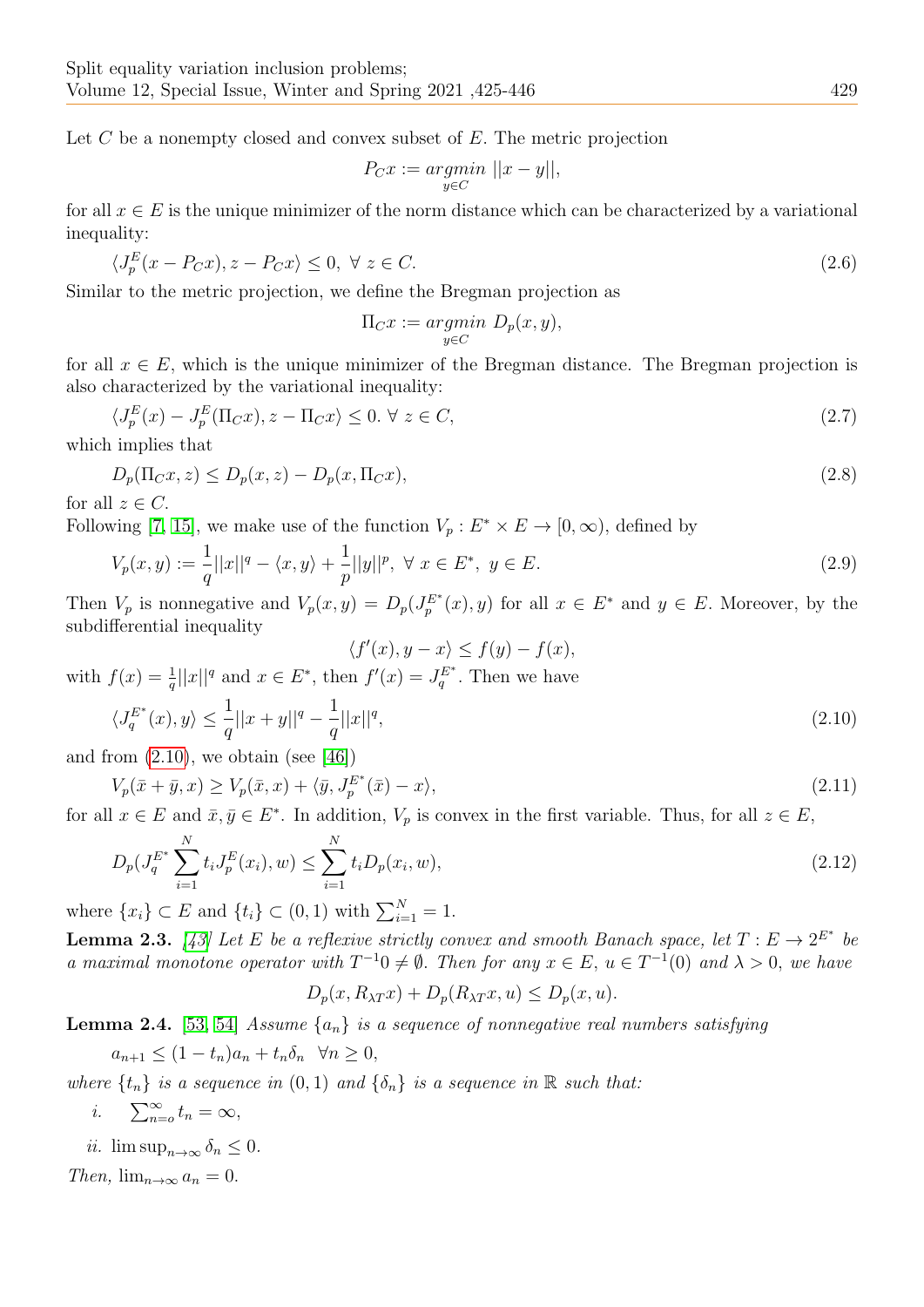Let  $C$  be a nonempty closed and convex subset of  $E$ . The metric projection

$$
P_C x := \underset{y \in C}{argmin} \ ||x - y||,
$$

for all  $x \in E$  is the unique minimizer of the norm distance which can be characterized by a variational inequality:

$$
\langle J_p^E(x - P_C x), z - P_C x \rangle \le 0, \ \forall \ z \in C. \tag{2.6}
$$

Similar to the metric projection, we define the Bregman projection as

$$
\Pi_C x := \underset{y \in C}{argmin} \ D_p(x,y),
$$

for all  $x \in E$ , which is the unique minimizer of the Bregman distance. The Bregman projection is also characterized by the variational inequality:

<span id="page-4-2"></span>
$$
\langle J_p^E(x) - J_p^E(\Pi_C x), z - \Pi_C x \rangle \le 0, \forall z \in C,
$$
\n
$$
(2.7)
$$

which implies that

$$
D_p(\Pi_C x, z) \le D_p(x, z) - D_p(x, \Pi_C x),
$$
\n(2.8)

for all  $z \in C$ .

Following [\[7,](#page-19-15) [15\]](#page-19-16), we make use of the function  $V_p: E^* \times E \to [0, \infty)$ , defined by

$$
V_p(x,y) := \frac{1}{q} ||x||^q - \langle x, y \rangle + \frac{1}{p} ||y||^p, \ \forall \ x \in E^*, \ y \in E. \tag{2.9}
$$

Then  $V_p$  is nonnegative and  $V_p(x, y) = D_p(J_p^{E^*}(x), y)$  for all  $x \in E^*$  and  $y \in E$ . Moreover, by the subdifferential inequality

 $\langle f'(x), y - x \rangle \le f(y) - f(x),$ 

with 
$$
f(x) = \frac{1}{q}||x||^q
$$
 and  $x \in E^*$ , then  $f'(x) = J_q^{E^*}$ . Then we have

<span id="page-4-0"></span>
$$
\langle J_q^{E^*}(x), y \rangle \le \frac{1}{q} ||x + y||^q - \frac{1}{q} ||x||^q,\tag{2.10}
$$

and from  $(2.10)$ , we obtain (see [\[46\]](#page-20-16))

$$
V_p(\bar{x} + \bar{y}, x) \ge V_p(\bar{x}, x) + \langle \bar{y}, J_p^{E^*}(\bar{x}) - x \rangle,
$$
\n(2.11)

for all  $x \in E$  and  $\bar{x}, \bar{y} \in E^*$ . In addition,  $V_p$  is convex in the first variable. Thus, for all  $z \in E$ ,

$$
D_p(J_q^{E^*}\sum_{i=1}^N t_i J_p^E(x_i), w) \le \sum_{i=1}^N t_i D_p(x_i, w),
$$
\n(2.12)

where  $\{x_i\} \subset E$  and  $\{t_i\} \subset (0,1)$  with  $\sum_{i=1}^{N} = 1$ .

**Lemma 2.3.** [\[43\]](#page-20-17) Let E be a reflexive strictly convex and smooth Banach space, let  $T : E \to 2^{E^*}$  be a maximal monotone operator with  $T^{-1}0 \neq \emptyset$ . Then for any  $x \in E$ ,  $u \in T^{-1}(0)$  and  $\lambda > 0$ , we have

# <span id="page-4-1"></span> $D_p(x, R_{\lambda T}x) + D_p(R_{\lambda T}x, u) \leq D_p(x, u).$

<span id="page-4-3"></span>**Lemma 2.4.** [\[53,](#page-21-6) [54\]](#page-21-5) Assume  $\{a_n\}$  is a sequence of nonnegative real numbers satisfying

 $a_{n+1} \leq (1-t_n)a_n + t_n \delta_n \quad \forall n \geq 0,$ 

where  $\{t_n\}$  is a sequence in  $(0, 1)$  and  $\{\delta_n\}$  is a sequence in  $\mathbb R$  such that:

$$
i. \qquad \sum_{n=0}^{\infty} t_n = \infty,
$$

ii.  $\limsup_{n\to\infty} \delta_n \leq 0$ .

Then,  $\lim_{n\to\infty} a_n = 0$ .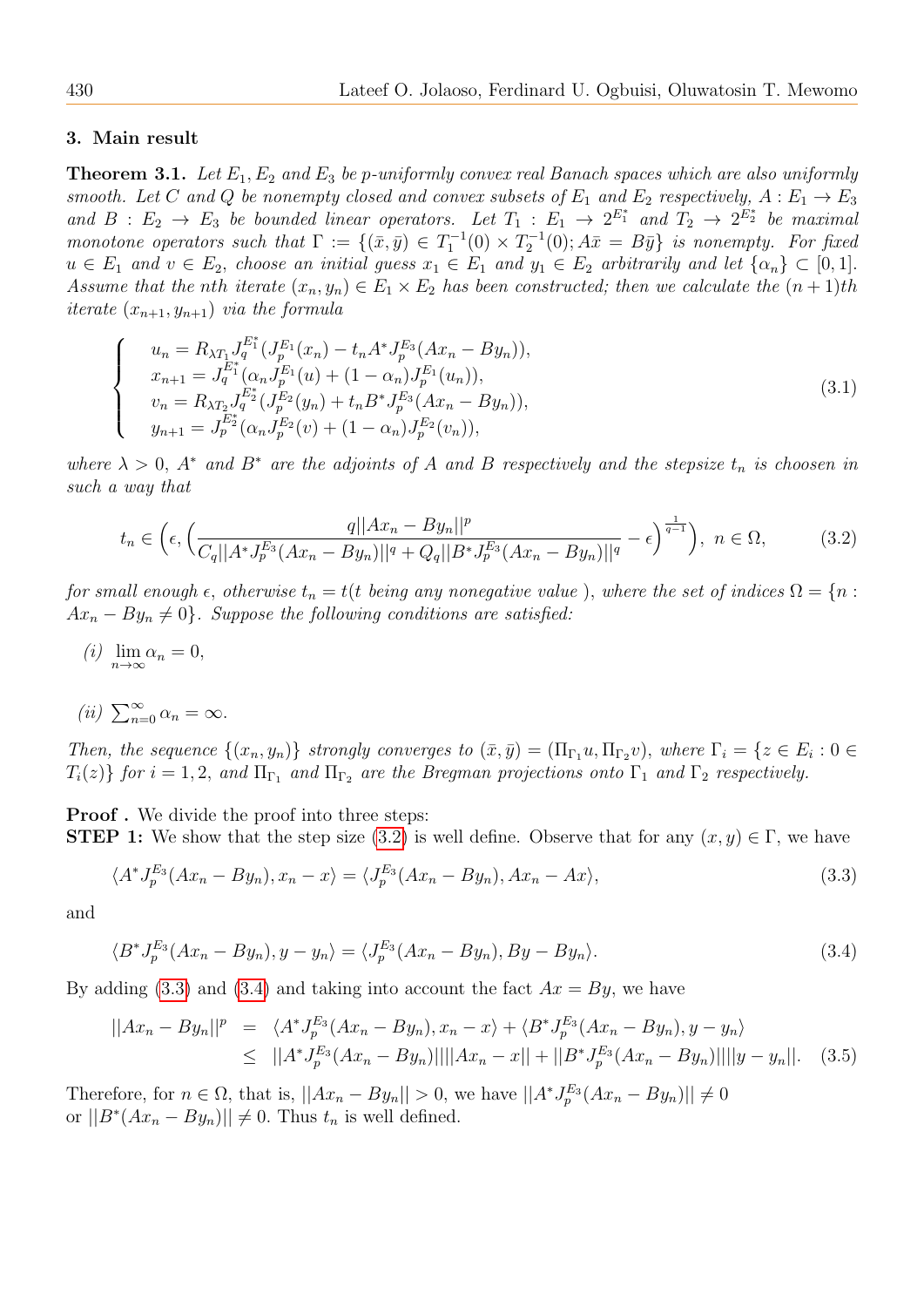#### 3. Main result

<span id="page-5-4"></span>**Theorem 3.1.** Let  $E_1, E_2$  and  $E_3$  be p-uniformly convex real Banach spaces which are also uniformly smooth. Let C and Q be nonempty closed and convex subsets of  $E_1$  and  $E_2$  respectively,  $A: E_1 \to E_3$ and  $B: E_2 \to E_3$  be bounded linear operators. Let  $T_1: E_1 \to 2^{E_1^*}$  and  $T_2 \to 2^{E_2^*}$  be maximal monotone operators such that  $\Gamma := \{(\bar{x}, \bar{y}) \in T_1^{-1}(0) \times T_2^{-1}(0); A\bar{x} = B\bar{y}\}\$ is nonempty. For fixed  $u \in E_1$  and  $v \in E_2$ , choose an initial guess  $x_1 \in E_1$  and  $y_1 \in E_2$  arbitrarily and let  $\{\alpha_n\} \subset [0,1]$ . Assume that the nth iterate  $(x_n, y_n) \in E_1 \times E_2$  has been constructed; then we calculate the  $(n+1)$ th *iterate*  $(x_{n+1}, y_{n+1})$  *via the formula* 

<span id="page-5-3"></span>
$$
\begin{cases}\n u_n = R_{\lambda T_1} J_q^{E_1^*} (J_p^{E_1}(x_n) - t_n A^* J_p^{E_3}(Ax_n - By_n)), \\
 x_{n+1} = J_q^{E_1^*} (\alpha_n J_p^{E_1}(u) + (1 - \alpha_n) J_p^{E_1}(u_n)), \\
 v_n = R_{\lambda T_2} J_q^{E_2^*} (J_p^{E_2}(y_n) + t_n B^* J_p^{E_3}(Ax_n - By_n)), \\
 y_{n+1} = J_p^{E_2^*} (\alpha_n J_p^{E_2}(v) + (1 - \alpha_n) J_p^{E_2}(v_n)),\n\end{cases} \tag{3.1}
$$

where  $\lambda > 0$ ,  $A^*$  and  $B^*$  are the adjoints of A and B respectively and the stepsize  $t_n$  is choosen in such a way that

<span id="page-5-1"></span>
$$
t_n \in \left(\epsilon, \left(\frac{q||Ax_n - By_n||^p}{C_q||A^*J_p^{E_3}(Ax_n - By_n)||^q + Q_q||B^*J_p^{E_3}(Ax_n - By_n)||^q} - \epsilon\right)^{\frac{1}{q-1}}\right), \ n \in \Omega,\tag{3.2}
$$

for small enough  $\epsilon$ , otherwise  $t_n = t(t$  being any nonegative value), where the set of indices  $\Omega = \{n :$  $Ax_n - By_n \neq 0$ . Suppose the following conditions are satisfied:

- (i)  $\lim_{n\to\infty} \alpha_n = 0,$
- (ii)  $\sum_{n=0}^{\infty} \alpha_n = \infty$ .

Then, the sequence  $\{(x_n, y_n)\}\$  strongly converges to  $(\bar{x}, \bar{y}) = (\Pi_{\Gamma_1} u, \Pi_{\Gamma_2} v)$ , where  $\Gamma_i = \{z \in E_i : 0 \in$  $T_i(z)$  for  $i = 1, 2$ , and  $\Pi_{\Gamma_1}$  and  $\Pi_{\Gamma_2}$  are the Bregman projections onto  $\Gamma_1$  and  $\Gamma_2$  respectively.

**Proof**. We divide the proof into three steps: **STEP 1:** We show that the step size [\(3.2\)](#page-5-1) is well define. Observe that for any  $(x, y) \in \Gamma$ , we have

<span id="page-5-0"></span>
$$
\langle A^* J_p^{E_3}(Ax_n - By_n), x_n - x \rangle = \langle J_p^{E_3}(Ax_n - By_n), Ax_n - Ax \rangle, \tag{3.3}
$$

and

<span id="page-5-2"></span>
$$
\langle B^* J_p^{E_3}(Ax_n - By_n), y - y_n \rangle = \langle J_p^{E_3}(Ax_n - By_n), By - By_n \rangle. \tag{3.4}
$$

By adding [\(3.3\)](#page-5-0) and [\(3.4\)](#page-5-2) and taking into account the fact  $Ax = By$ , we have

$$
||Ax_n - By_n||^p = \langle A^* J_p^{E_3} (Ax_n - By_n), x_n - x \rangle + \langle B^* J_p^{E_3} (Ax_n - By_n), y - y_n \rangle
$$
  
\n
$$
\leq ||A^* J_p^{E_3} (Ax_n - By_n)|| ||Ax_n - x|| + ||B^* J_p^{E_3} (Ax_n - By_n)|| ||y - y_n||. \quad (3.5)
$$

Therefore, for  $n \in \Omega$ , that is,  $||Ax_n - By_n|| > 0$ , we have  $||A^* J_p^{E_3}(Ax_n - By_n)|| \neq 0$ or  $||B^*(Ax_n - By_n)|| \neq 0$ . Thus  $t_n$  is well defined.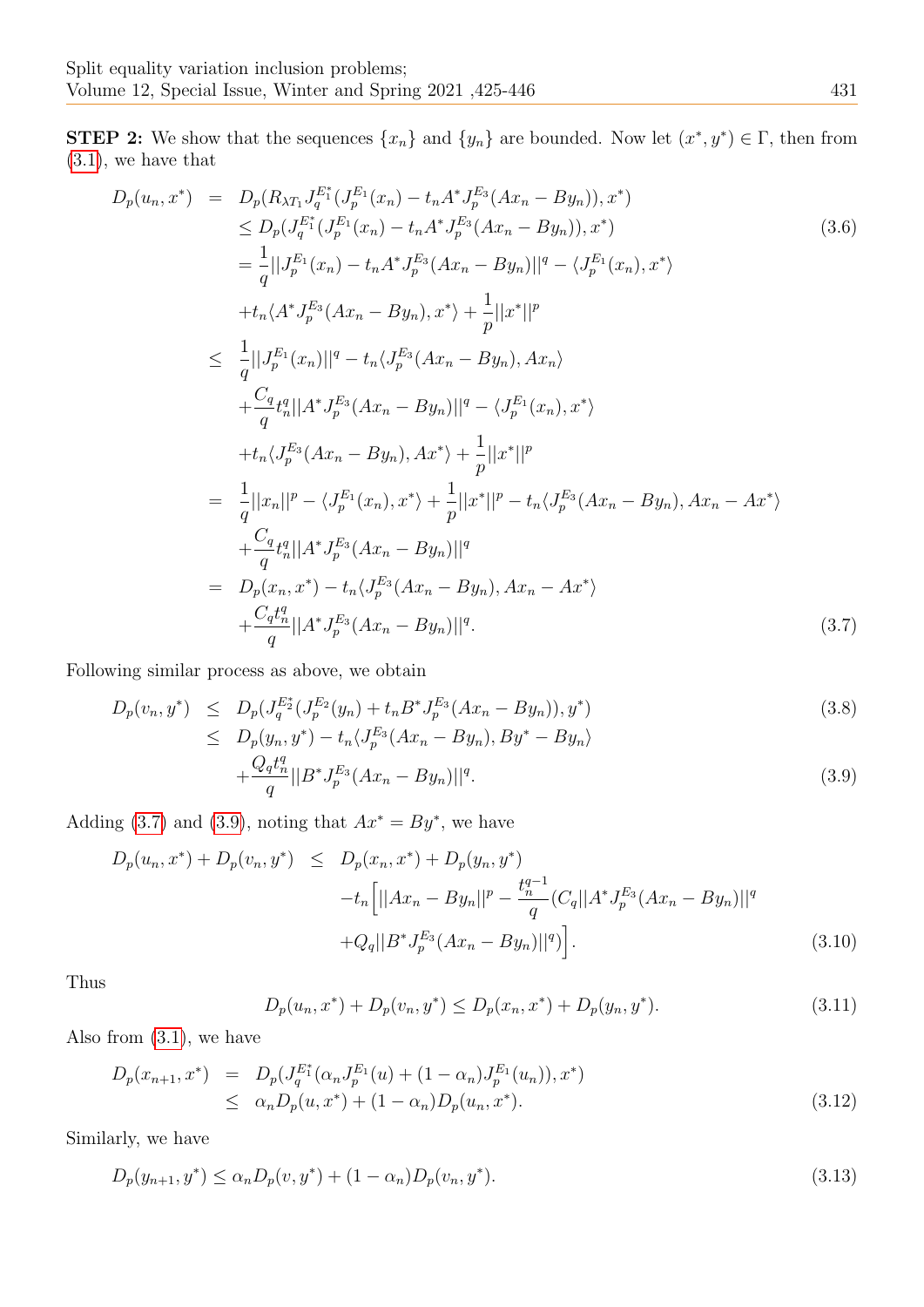**STEP 2:** We show that the sequences  $\{x_n\}$  and  $\{y_n\}$  are bounded. Now let  $(x^*, y^*) \in \Gamma$ , then from [\(3.1\)](#page-5-3), we have that

<span id="page-6-0"></span>
$$
D_{p}(u_{n},x^{*}) = D_{p}(R_{\lambda T_{1}}J_{q}^{E_{1}^{*}}(J_{p}^{E_{1}}(x_{n}) - t_{n}A^{*}J_{p}^{E_{3}}(Ax_{n} - By_{n})),x^{*})
$$
\n
$$
\leq D_{p}(J_{q}^{E_{1}^{*}}(J_{p}^{E_{1}}(x_{n}) - t_{n}A^{*}J_{p}^{E_{3}}(Ax_{n} - By_{n})),x^{*})
$$
\n
$$
= \frac{1}{q}||J_{p}^{E_{1}}(x_{n}) - t_{n}A^{*}J_{p}^{E_{3}}(Ax_{n} - By_{n})||^{q} - \langle J_{p}^{E_{1}}(x_{n}),x^{*}\rangle
$$
\n
$$
+ t_{n}\langle A^{*}J_{p}^{E_{3}}(Ax_{n} - By_{n}),x^{*}\rangle + \frac{1}{p}||x^{*}||^{p}
$$
\n
$$
\leq \frac{1}{q}||J_{p}^{E_{1}}(x_{n})||^{q} - t_{n}\langle J_{p}^{E_{3}}(Ax_{n} - By_{n}),Ax_{n}\rangle
$$
\n
$$
+ \frac{C_{q}}{q}t_{n}^{q}||A^{*}J_{p}^{E_{3}}(Ax_{n} - By_{n})||^{q} - \langle J_{p}^{E_{1}}(x_{n}),x^{*}\rangle
$$
\n
$$
+ t_{n}\langle J_{p}^{E_{3}}(Ax_{n} - By_{n}),Ax^{*}\rangle + \frac{1}{p}||x^{*}||^{p}
$$
\n
$$
= \frac{1}{q}||x_{n}||^{p} - \langle J_{p}^{E_{1}}(x_{n}),x^{*}\rangle + \frac{1}{p}||x^{*}||^{p} - t_{n}\langle J_{p}^{E_{3}}(Ax_{n} - By_{n}),Ax_{n} - Ax^{*}\rangle
$$
\n
$$
+ \frac{C_{q}}{q}t_{n}^{q}||A^{*}J_{p}^{E_{3}}(Ax_{n} - By_{n})||^{q}
$$
\n
$$
= D_{p}(x_{n},x^{*}) - t_{n}\langle J_{p}^{E_{3}}(Ax_{n} - By_{n})||^{q}.
$$
\n
$$
+ \frac{C_{q}t_{n}^{q}}{q}||A^{*}J_{p}^{E_{3
$$

Following similar process as above, we obtain

<span id="page-6-1"></span>
$$
D_p(v_n, y^*) \le D_p(J_q^{E_2^*}(J_p^{E_2}(y_n) + t_n B^* J_p^{E_3}(Ax_n - By_n)), y^*)
$$
  
\n
$$
\le D_p(y_n, y^*) - t_n \langle J_p^{E_3}(Ax_n - By_n), By^* - By_n \rangle
$$
\n(3.8)

$$
+\frac{Q_q t_n^q}{q} ||B^* J_p^{E_3} (Ax_n - By_n)||^q. \tag{3.9}
$$

Adding [\(3.7\)](#page-6-0) and [\(3.9\)](#page-6-1), noting that  $Ax^* = By^*$ , we have

<span id="page-6-3"></span>
$$
D_p(u_n, x^*) + D_p(v_n, y^*) \le D_p(x_n, x^*) + D_p(y_n, y^*)
$$
  
-t<sub>n</sub> $\left[||Ax_n - By_n||^p - \frac{t_n^{q-1}}{q} (C_q||A^* J_p^{E_3}(Ax_n - By_n)||^q\right] + Q_q||B^* J_p^{E_3}(Ax_n - By_n)||^q \right].$  (3.10)

Thus

<span id="page-6-2"></span>
$$
D_p(u_n, x^*) + D_p(v_n, y^*) \le D_p(x_n, x^*) + D_p(y_n, y^*).
$$
\n(3.11)

Also from [\(3.1\)](#page-5-3), we have

$$
D_p(x_{n+1}, x^*) = D_p(J_q^{E_1^*}(\alpha_n J_p^{E_1}(u) + (1 - \alpha_n)J_p^{E_1}(u_n)), x^*)
$$
  
 
$$
\leq \alpha_n D_p(u, x^*) + (1 - \alpha_n)D_p(u_n, x^*).
$$
 (3.12)

Similarly, we have

$$
D_p(y_{n+1}, y^*) \le \alpha_n D_p(v, y^*) + (1 - \alpha_n) D_p(v_n, y^*).
$$
\n(3.13)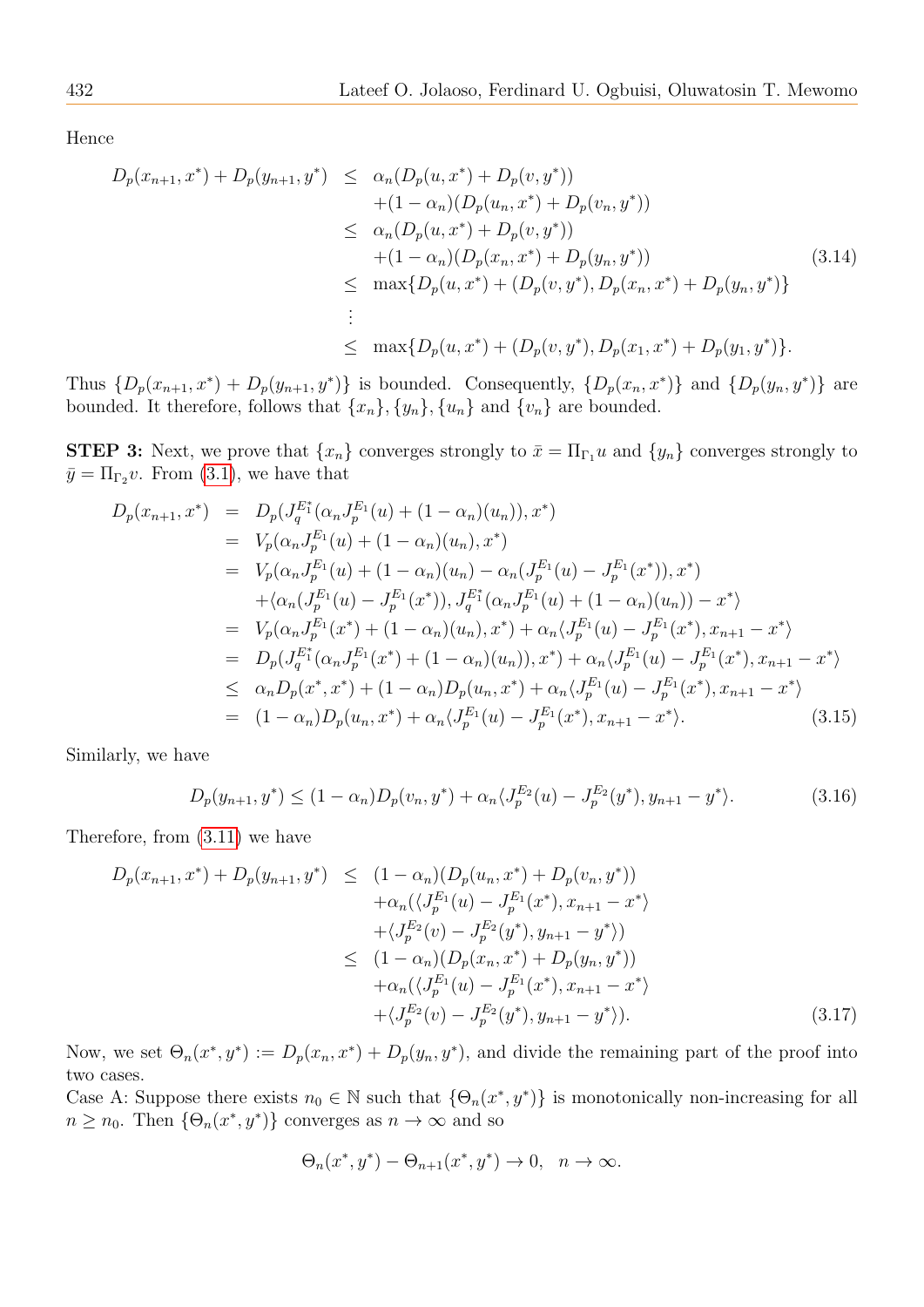Hence

$$
D_p(x_{n+1}, x^*) + D_p(y_{n+1}, y^*) \le \alpha_n (D_p(u, x^*) + D_p(v, y^*)) + (1 - \alpha_n)(D_p(u_n, x^*) + D_p(v_n, y^*)) \le \alpha_n (D_p(u, x^*) + D_p(v, y^*)) + (1 - \alpha_n)(D_p(x_n, x^*) + D_p(y_n, y^*)) \le \max\{D_p(u, x^*) + (D_p(v, y^*), D_p(x_n, x^*) + D_p(y_n, y^*)) \}
$$
(3.14)  
  
\vdots   
  
\le \max\{D\_p(u, x^\*) + (D\_p(v, y^\*), D\_p(x\_1, x^\*) + D\_p(y\_1, y^\*) \}.

Thus  $\{D_p(x_{n+1}, x^*) + D_p(y_{n+1}, y^*)\}$  is bounded. Consequently,  $\{D_p(x_n, x^*)\}$  and  $\{D_p(y_n, y^*)\}$  are bounded. It therefore, follows that  $\{x_n\}$ ,  $\{y_n\}$ ,  $\{u_n\}$  and  $\{v_n\}$  are bounded.

**STEP 3:** Next, we prove that  $\{x_n\}$  converges strongly to  $\bar{x} = \Pi_{\Gamma_1} u$  and  $\{y_n\}$  converges strongly to  $\bar{y} = \Pi_{\Gamma_2} v$ . From [\(3.1\)](#page-5-3), we have that

$$
D_p(x_{n+1}, x^*) = D_p(J_q^{E_1^*}(\alpha_n J_p^{E_1}(u) + (1 - \alpha_n)(u_n)), x^*)
$$
  
\n
$$
= V_p(\alpha_n J_p^{E_1}(u) + (1 - \alpha_n)(u_n), x^*)
$$
  
\n
$$
= V_p(\alpha_n J_p^{E_1}(u) + (1 - \alpha_n)(u_n) - \alpha_n (J_p^{E_1}(u) - J_p^{E_1}(x^*)), x^*)
$$
  
\n
$$
+ \langle \alpha_n (J_p^{E_1}(u) - J_p^{E_1}(x^*)), J_q^{E_1^*}(\alpha_n J_p^{E_1}(u) + (1 - \alpha_n)(u_n)) - x^* \rangle
$$
  
\n
$$
= V_p(\alpha_n J_p^{E_1}(x^*) + (1 - \alpha_n)(u_n), x^*) + \alpha_n \langle J_p^{E_1}(u) - J_p^{E_1}(x^*), x_{n+1} - x^* \rangle
$$
  
\n
$$
= D_p(J_q^{E_1^*}(\alpha_n J_p^{E_1}(x^*) + (1 - \alpha_n)(u_n)), x^*) + \alpha_n \langle J_p^{E_1}(u) - J_p^{E_1}(x^*), x_{n+1} - x^* \rangle
$$
  
\n
$$
\leq \alpha_n D_p(x^*, x^*) + (1 - \alpha_n) D_p(u_n, x^*) + \alpha_n \langle J_p^{E_1}(u) - J_p^{E_1}(x^*), x_{n+1} - x^* \rangle
$$
  
\n
$$
= (1 - \alpha_n) D_p(u_n, x^*) + \alpha_n \langle J_p^{E_1}(u) - J_p^{E_1}(x^*), x_{n+1} - x^* \rangle.
$$
 (3.15)

Similarly, we have

$$
D_p(y_{n+1}, y^*) \le (1 - \alpha_n) D_p(v_n, y^*) + \alpha_n \langle J_p^{E_2}(u) - J_p^{E_2}(y^*), y_{n+1} - y^* \rangle.
$$
 (3.16)

Therefore, from [\(3.11\)](#page-6-2) we have

<span id="page-7-0"></span>
$$
D_p(x_{n+1}, x^*) + D_p(y_{n+1}, y^*) \leq (1 - \alpha_n)(D_p(u_n, x^*) + D_p(v_n, y^*))
$$
  
\t
$$
+ \alpha_n(\langle J_p^{E_1}(u) - J_p^{E_1}(x^*), x_{n+1} - x^* \rangle
$$
  
\t
$$
+ \langle J_p^{E_2}(v) - J_p^{E_2}(y^*), y_{n+1} - y^* \rangle)
$$
  
\t
$$
\leq (1 - \alpha_n)(D_p(x_n, x^*) + D_p(y_n, y^*))
$$
  
\t
$$
+ \alpha_n(\langle J_p^{E_1}(u) - J_p^{E_1}(x^*), x_{n+1} - x^* \rangle
$$
  
\t
$$
+ \langle J_p^{E_2}(v) - J_p^{E_2}(y^*), y_{n+1} - y^* \rangle).
$$
\t(3.17)

Now, we set  $\Theta_n(x^*, y^*) := D_p(x_n, x^*) + D_p(y_n, y^*)$ , and divide the remaining part of the proof into two cases.

Case A: Suppose there exists  $n_0 \in \mathbb{N}$  such that  $\{\Theta_n(x^*, y^*)\}$  is monotonically non-increasing for all  $n \geq n_0$ . Then  $\{\Theta_n(x^*, y^*)\}$  converges as  $n \to \infty$  and so

$$
\Theta_n(x^*, y^*) - \Theta_{n+1}(x^*, y^*) \to 0, \quad n \to \infty.
$$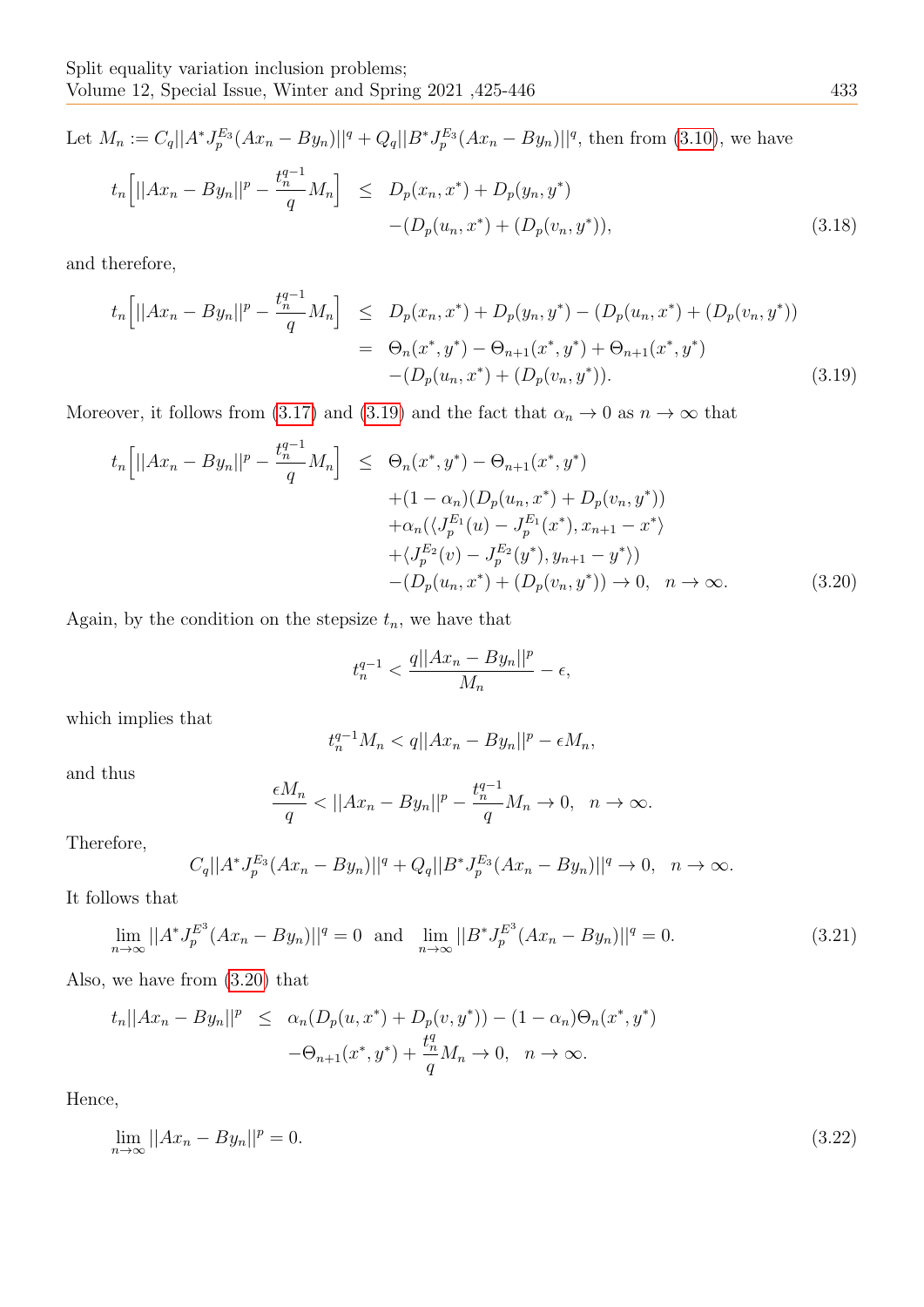Let 
$$
M_n := C_q ||A^* J_p^{E_3} (Ax_n - By_n)||^q + Q_q ||B^* J_p^{E_3} (Ax_n - By_n)||^q
$$
, then from (3.10), we have  
\n
$$
t_n \Big[ ||Ax_n - By_n||^p - \frac{t_n^{q-1}}{q} M_n \Big] \le D_p(x_n, x^*) + D_p(y_n, y^*) - (D_p(u_n, x^*) + (D_p(v_n, y^*)), \tag{3.18}
$$

and therefore,

<span id="page-8-0"></span>
$$
t_n\Big[||Ax_n - By_n||^p - \frac{t_n^{q-1}}{q}M_n\Big] \le D_p(x_n, x^*) + D_p(y_n, y^*) - (D_p(u_n, x^*) + (D_p(v_n, y^*))
$$
  

$$
= \Theta_n(x^*, y^*) - \Theta_{n+1}(x^*, y^*) + \Theta_{n+1}(x^*, y^*)
$$
  

$$
- (D_p(u_n, x^*) + (D_p(v_n, y^*)). \tag{3.19}
$$

Moreover, it follows from [\(3.17\)](#page-7-0) and [\(3.19\)](#page-8-0) and the fact that  $\alpha_n \to 0$  as  $n \to \infty$  that

<span id="page-8-1"></span>
$$
t_n\left[||Ax_n - By_n||^p - \frac{t_n^{q-1}}{q}M_n\right] \leq \Theta_n(x^*, y^*) - \Theta_{n+1}(x^*, y^*)
$$
  
 
$$
+ (1 - \alpha_n)(D_p(u_n, x^*) + D_p(v_n, y^*))
$$
  
 
$$
+ \alpha_n(\langle J_p^{E_1}(u) - J_p^{E_1}(x^*), x_{n+1} - x^* \rangle
$$
  
 
$$
+ \langle J_p^{E_2}(v) - J_p^{E_2}(y^*), y_{n+1} - y^* \rangle)
$$
  
 
$$
- (D_p(u_n, x^*) + (D_p(v_n, y^*)) \to 0, \quad n \to \infty.
$$
 (3.20)

Again, by the condition on the stepsize  $t_n$ , we have that

$$
t_n^{q-1}<\frac{q||Ax_n-By_n||^p}{M_n}-\epsilon,
$$

which implies that

$$
t_n^{q-1}M_n < q||Ax_n - By_n||^p - \epsilon M_n,
$$

and thus

$$
\frac{\epsilon M_n}{q} < ||Ax_n - By_n||^p - \frac{t_n^{q-1}}{q}M_n \to 0, \quad n \to \infty.
$$

Therefore,

$$
C_q||A^*J_p^{E_3}(Ax_n - By_n)||^q + Q_q||B^*J_p^{E_3}(Ax_n - By_n)||^q \to 0, \ \ n \to \infty.
$$

It follows that

$$
\lim_{n \to \infty} ||A^* J_p^{E^3} (Ax_n - By_n)||^q = 0 \text{ and } \lim_{n \to \infty} ||B^* J_p^{E^3} (Ax_n - By_n)||^q = 0. \tag{3.21}
$$

Also, we have from [\(3.20\)](#page-8-1) that

$$
t_n||Ax_n - By_n||^p \le \alpha_n(D_p(u, x^*) + D_p(v, y^*)) - (1 - \alpha_n)\Theta_n(x^*, y^*)
$$
  

$$
-\Theta_{n+1}(x^*, y^*) + \frac{t_n^q}{q}M_n \to 0, \quad n \to \infty.
$$

Hence,

<span id="page-8-2"></span>
$$
\lim_{n \to \infty} ||Ax_n - By_n||^p = 0. \tag{3.22}
$$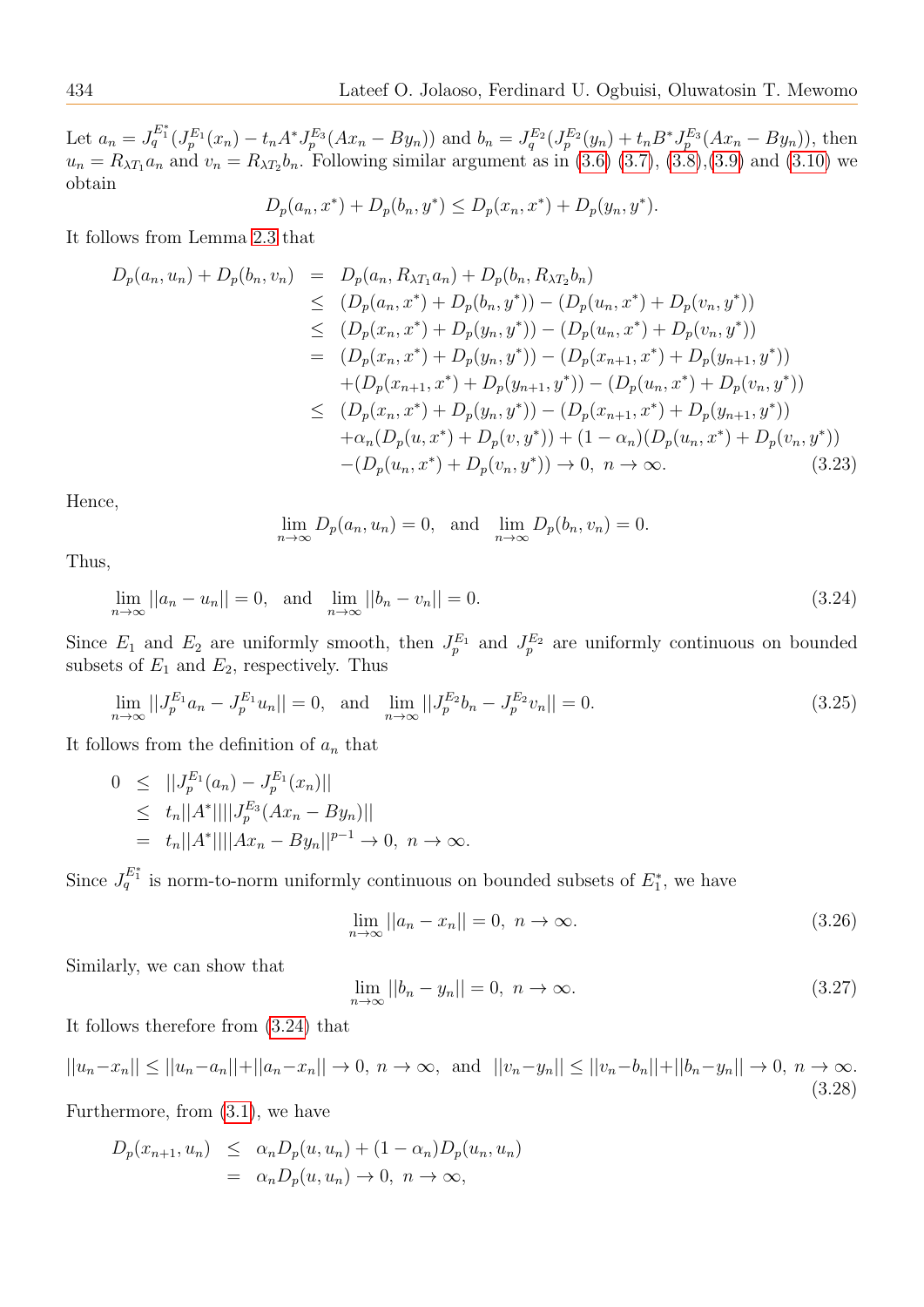Let  $a_n = J_q^{E_1^*}(J_p^{E_1}(x_n) - t_n A^* J_p^{E_3}(Ax_n - By_n))$  and  $b_n = J_q^{E_2}(J_p^{E_2}(y_n) + t_n B^* J_p^{E_3}(Ax_n - By_n))$ , then  $u_n = R_{\lambda T_1} a_n$  and  $v_n = R_{\lambda T_2} b_n$ . Following similar argument as in [\(3.6\) \(3.7\)](#page-6-0), [\(3.8\)](#page-6-1), [\(3.9\)](#page-6-1) and [\(3.10\)](#page-6-3) we obtain

$$
D_p(a_n, x^*) + D_p(b_n, y^*) \le D_p(x_n, x^*) + D_p(y_n, y^*).
$$

It follows from Lemma [2.3](#page-4-1) that

$$
D_p(a_n, u_n) + D_p(b_n, v_n) = D_p(a_n, R_{\lambda T_1} a_n) + D_p(b_n, R_{\lambda T_2} b_n)
$$
  
\n
$$
\leq (D_p(a_n, x^*) + D_p(b_n, y^*)) - (D_p(u_n, x^*) + D_p(v_n, y^*))
$$
  
\n
$$
\leq (D_p(x_n, x^*) + D_p(y_n, y^*)) - (D_p(u_n, x^*) + D_p(v_n, y^*))
$$
  
\n
$$
= (D_p(x_n, x^*) + D_p(y_n, y^*)) - (D_p(x_{n+1}, x^*) + D_p(y_{n+1}, y^*))
$$
  
\n
$$
+ (D_p(x_{n+1}, x^*) + D_p(y_{n+1}, y^*)) - (D_p(u_n, x^*) + D_p(v_n, y^*))
$$
  
\n
$$
\leq (D_p(x_n, x^*) + D_p(y_n, y^*)) - (D_p(x_{n+1}, x^*) + D_p(y_{n+1}, y^*))
$$
  
\n
$$
+ \alpha_n(D_p(u, x^*) + D_p(v, y^*)) + (1 - \alpha_n)(D_p(u_n, x^*) + D_p(v_n, y^*))
$$
  
\n
$$
- (D_p(u_n, x^*) + D_p(v_n, y^*)) \to 0, \quad n \to \infty.
$$
\n(3.23)

Hence,

<span id="page-9-0"></span>
$$
\lim_{n \to \infty} D_p(a_n, u_n) = 0, \text{ and } \lim_{n \to \infty} D_p(b_n, v_n) = 0.
$$

Thus,

$$
\lim_{n \to \infty} ||a_n - u_n|| = 0, \text{ and } \lim_{n \to \infty} ||b_n - v_n|| = 0.
$$
\n(3.24)

Since  $E_1$  and  $E_2$  are uniformly smooth, then  $J_p^{E_1}$  and  $J_p^{E_2}$  are uniformly continuous on bounded subsets of  $E_1$  and  $E_2$ , respectively. Thus

<span id="page-9-2"></span>
$$
\lim_{n \to \infty} ||J_p^{E_1} a_n - J_p^{E_1} u_n|| = 0, \text{ and } \lim_{n \to \infty} ||J_p^{E_2} b_n - J_p^{E_2} v_n|| = 0.
$$
\n(3.25)

It follows from the definition of  $a_n$  that

$$
0 \leq ||J_p^{E_1}(a_n) - J_p^{E_1}(x_n)||
$$
  
\n
$$
\leq t_n||A^*||||J_p^{E_3}(Ax_n - By_n)||
$$
  
\n
$$
= t_n||A^*||||Ax_n - By_n||^{p-1} \to 0, \quad n \to \infty.
$$

Since  $J_q^{E_1^*}$  is norm-to-norm uniformly continuous on bounded subsets of  $E_1^*$ , we have

$$
\lim_{n \to \infty} ||a_n - x_n|| = 0, \quad n \to \infty. \tag{3.26}
$$

Similarly, we can show that

$$
\lim_{n \to \infty} ||b_n - y_n|| = 0, \quad n \to \infty. \tag{3.27}
$$

It follows therefore from [\(3.24\)](#page-9-0) that

<span id="page-9-1"></span>
$$
||u_n - x_n|| \le ||u_n - a_n|| + ||a_n - x_n|| \to 0, \ n \to \infty, \text{ and } ||v_n - y_n|| \le ||v_n - b_n|| + ||b_n - y_n|| \to 0, \ n \to \infty.
$$
\n(3.28)

Furthermore, from [\(3.1\)](#page-5-3), we have

$$
D_p(x_{n+1}, u_n) \leq \alpha_n D_p(u, u_n) + (1 - \alpha_n) D_p(u_n, u_n)
$$
  
=  $\alpha_n D_p(u, u_n) \to 0, \quad n \to \infty,$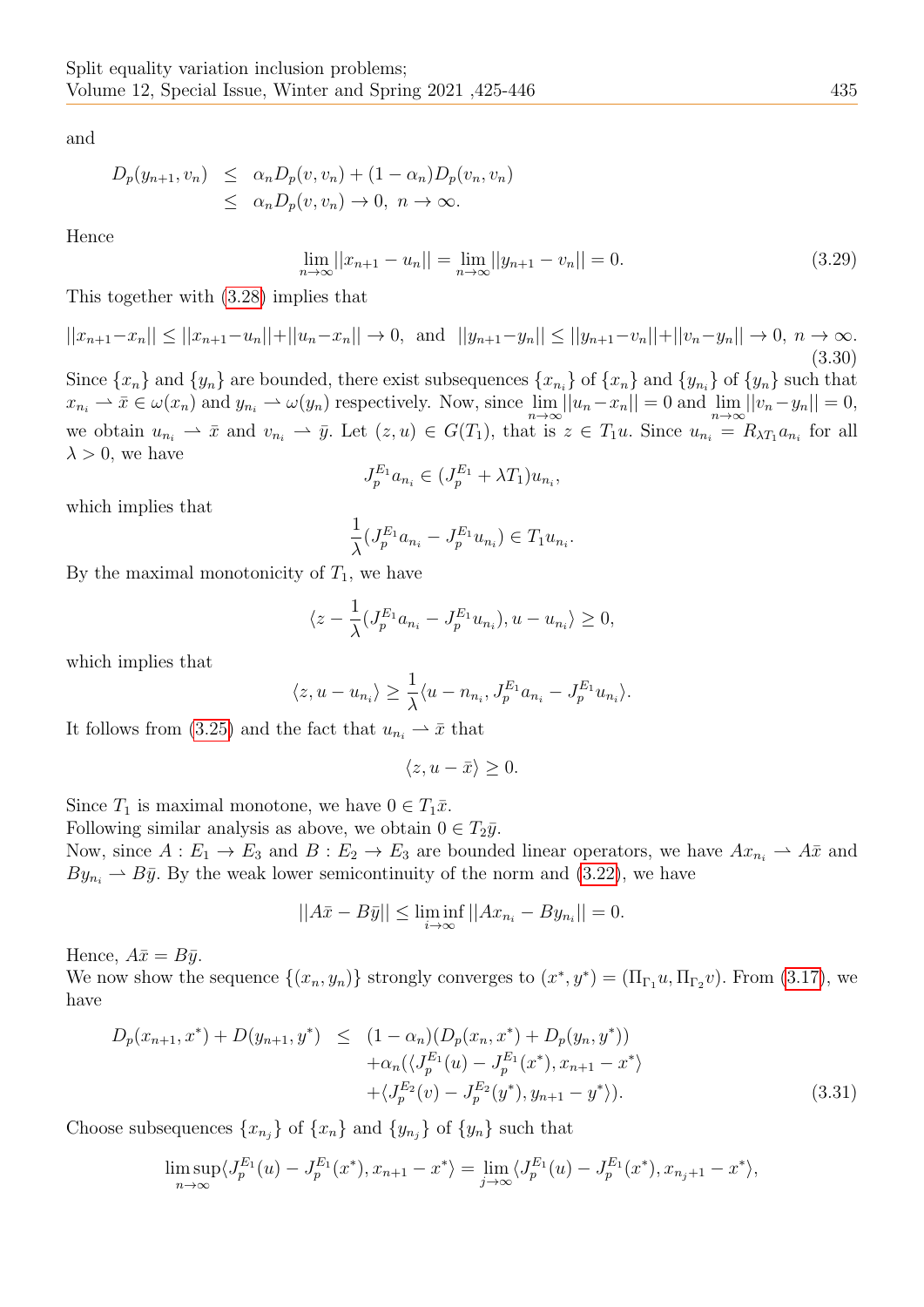and

$$
D_p(y_{n+1}, v_n) \leq \alpha_n D_p(v, v_n) + (1 - \alpha_n) D_p(v_n, v_n)
$$
  

$$
\leq \alpha_n D_p(v, v_n) \to 0, \quad n \to \infty.
$$

Hence

$$
\lim_{n \to \infty} ||x_{n+1} - u_n|| = \lim_{n \to \infty} ||y_{n+1} - v_n|| = 0.
$$
\n(3.29)

This together with [\(3.28\)](#page-9-1) implies that

 $||x_{n+1}-x_n|| \le ||x_{n+1}-u_n||+||u_n-x_n|| \to 0$ , and  $||y_{n+1}-y_n|| \le ||y_{n+1}-v_n||+||v_n-y_n|| \to 0$ ,  $n \to \infty$ . (3.30)

Since  $\{x_n\}$  and  $\{y_n\}$  are bounded, there exist subsequences  $\{x_{n_i}\}$  of  $\{x_n\}$  and  $\{y_{n_i}\}$  of  $\{y_n\}$  such that  $x_{n_i} \rightharpoonup \bar{x} \in \omega(x_n)$  and  $y_{n_i} \rightharpoonup \omega(y_n)$  respectively. Now, since  $\lim_{n\to\infty} ||u_n-x_n|| = 0$  and  $\lim_{n\to\infty} ||v_n-y_n|| = 0$ , we obtain  $u_{n_i} \rightharpoonup \bar{x}$  and  $v_{n_i} \rightharpoonup \bar{y}$ . Let  $(z, u) \in G(T_1)$ , that is  $z \in T_1u$ . Since  $u_{n_i} = R_{\lambda T_1} a_{n_i}$  for all  $\lambda > 0$ , we have

$$
J_p^{E_1} a_{n_i} \in (J_p^{E_1} + \lambda T_1) u_{n_i},
$$

which implies that

$$
\frac{1}{\lambda} (J_p^{E_1} a_{n_i} - J_p^{E_1} u_{n_i}) \in T_1 u_{n_i}.
$$

By the maximal monotonicity of  $T_1$ , we have

$$
\langle z - \frac{1}{\lambda} (J_p^{E_1} a_{n_i} - J_p^{E_1} u_{n_i}), u - u_{n_i} \rangle \ge 0,
$$

which implies that

$$
\langle z, u - u_{n_i} \rangle \ge \frac{1}{\lambda} \langle u - n_{n_i}, J_p^{E_1} a_{n_i} - J_p^{E_1} u_{n_i} \rangle.
$$

It follows from [\(3.25\)](#page-9-2) and the fact that  $u_{n_i} \rightharpoonup \bar{x}$  that

$$
\langle z, u - \bar{x} \rangle \ge 0.
$$

Since  $T_1$  is maximal monotone, we have  $0 \in T_1\bar{x}$ .

Following similar analysis as above, we obtain  $0 \in T_2\bar{y}$ .

Now, since  $A: E_1 \to E_3$  and  $B: E_2 \to E_3$  are bounded linear operators, we have  $Ax_{n_i} \to A\overline{x}$  and  $By_{n_i} \rightarrow B\bar{y}$ . By the weak lower semicontinuity of the norm and [\(3.22\)](#page-8-2), we have

$$
||A\bar{x} - B\bar{y}|| \le \liminf_{i \to \infty} ||Ax_{n_i} - By_{n_i}|| = 0.
$$

Hence,  $A\bar{x} = B\bar{y}$ .

We now show the sequence  $\{(x_n, y_n)\}$  strongly converges to  $(x^*, y^*) = (\Pi_{\Gamma_1} u, \Pi_{\Gamma_2} v)$ . From [\(3.17\)](#page-7-0), we have

<span id="page-10-0"></span>
$$
D_p(x_{n+1}, x^*) + D(y_{n+1}, y^*) \leq (1 - \alpha_n)(D_p(x_n, x^*) + D_p(y_n, y^*)) + \alpha_n(\langle J_p^{E_1}(u) - J_p^{E_1}(x^*), x_{n+1} - x^* \rangle + \langle J_p^{E_2}(v) - J_p^{E_2}(y^*), y_{n+1} - y^* \rangle).
$$
(3.31)

Choose subsequences  $\{x_{n_j}\}\$  of  $\{x_n\}$  and  $\{y_{n_j}\}\$  of  $\{y_n\}$  such that

$$
\limsup_{n \to \infty} \langle J_p^{E_1}(u) - J_p^{E_1}(x^*), x_{n+1} - x^* \rangle = \lim_{j \to \infty} \langle J_p^{E_1}(u) - J_p^{E_1}(x^*), x_{n_j+1} - x^* \rangle,
$$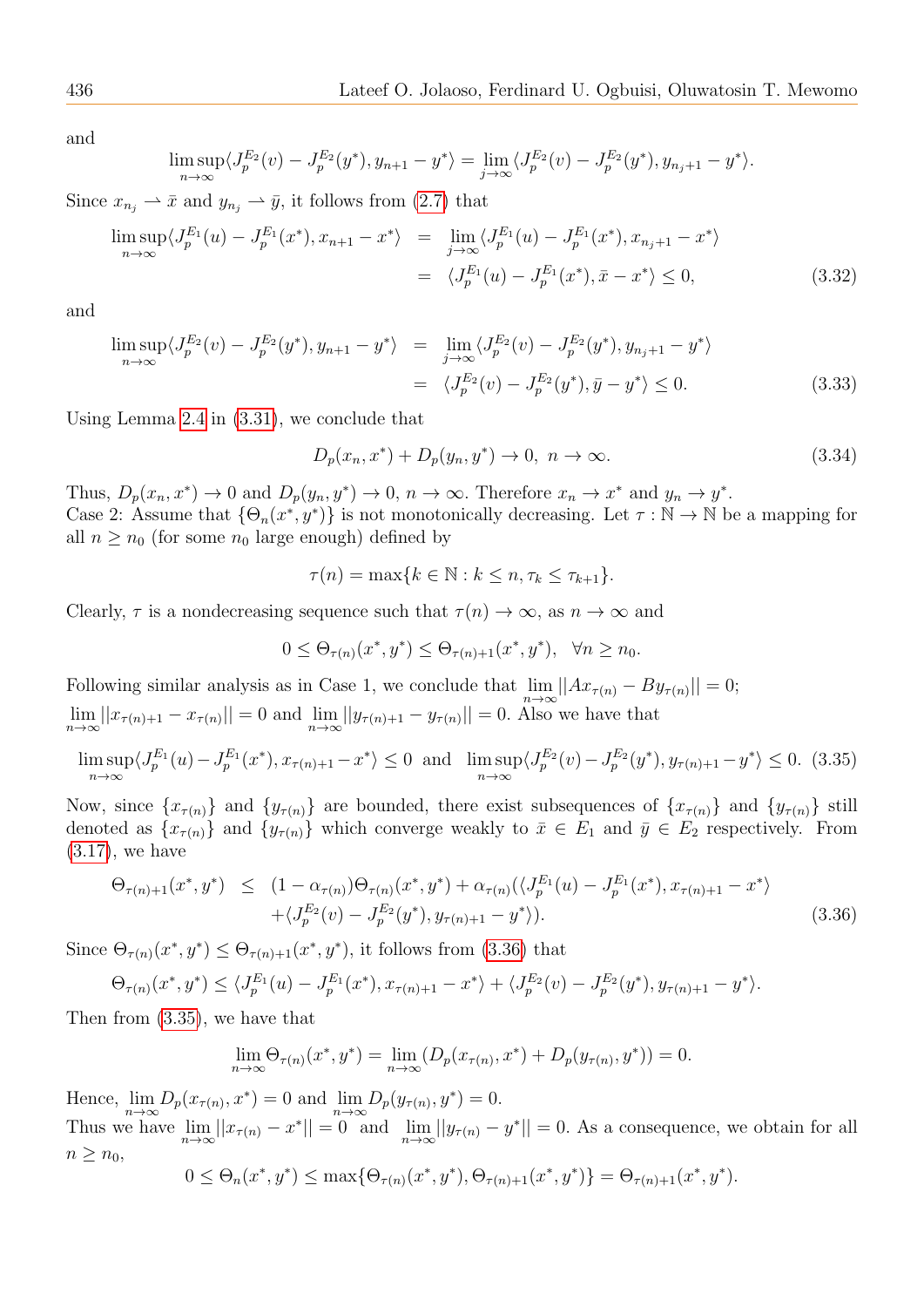and

$$
\limsup_{n \to \infty} \langle J_p^{E_2}(v) - J_p^{E_2}(y^*), y_{n+1} - y^* \rangle = \lim_{j \to \infty} \langle J_p^{E_2}(v) - J_p^{E_2}(y^*), y_{n_j+1} - y^* \rangle.
$$

Since  $x_{n_i} \rightharpoonup \bar{x}$  and  $y_{n_i} \rightharpoonup \bar{y}$ , it follows from [\(2.7\)](#page-4-2) that

$$
\limsup_{n \to \infty} \langle J_p^{E_1}(u) - J_p^{E_1}(x^*), x_{n+1} - x^* \rangle = \lim_{j \to \infty} \langle J_p^{E_1}(u) - J_p^{E_1}(x^*), x_{n_j+1} - x^* \rangle
$$
  

$$
= \langle J_p^{E_1}(u) - J_p^{E_1}(x^*), \bar{x} - x^* \rangle \le 0,
$$
 (3.32)

and

$$
\limsup_{n \to \infty} \langle J_p^{E_2}(v) - J_p^{E_2}(y^*), y_{n+1} - y^* \rangle = \lim_{j \to \infty} \langle J_p^{E_2}(v) - J_p^{E_2}(y^*), y_{n_j+1} - y^* \rangle
$$
  
=  $\langle J_p^{E_2}(v) - J_p^{E_2}(y^*), \bar{y} - y^* \rangle \le 0.$  (3.33)

Using Lemma [2.4](#page-4-3) in [\(3.31\)](#page-10-0), we conclude that

$$
D_p(x_n, x^*) + D_p(y_n, y^*) \to 0, \ n \to \infty.
$$
\n(3.34)

Thus,  $D_p(x_n, x^*) \to 0$  and  $D_p(y_n, y^*) \to 0$ ,  $n \to \infty$ . Therefore  $x_n \to x^*$  and  $y_n \to y^*$ . Case 2: Assume that  $\{\Theta_n(x^*, y^*)\}$  is not monotonically decreasing. Let  $\tau : \mathbb{N} \to \mathbb{N}$  be a mapping for all  $n \geq n_0$  (for some  $n_0$  large enough) defined by

$$
\tau(n) = \max\{k \in \mathbb{N} : k \leq n, \tau_k \leq \tau_{k+1}\}.
$$

Clearly,  $\tau$  is a nondecreasing sequence such that  $\tau(n) \to \infty$ , as  $n \to \infty$  and

$$
0 \leq \Theta_{\tau(n)}(x^*, y^*) \leq \Theta_{\tau(n)+1}(x^*, y^*), \ \ \forall n \geq n_0.
$$

Following similar analysis as in Case 1, we conclude that  $\lim_{n\to\infty}||Ax_{\tau(n)} - By_{\tau(n)}|| = 0;$  $\lim_{n \to \infty} ||x_{\tau(n)+1} - x_{\tau(n)}|| = 0$  and  $\lim_{n \to \infty} ||y_{\tau(n)+1} - y_{\tau(n)}|| = 0$ . Also we have that

<span id="page-11-1"></span>
$$
\limsup_{n \to \infty} \langle J_p^{E_1}(u) - J_p^{E_1}(x^*), x_{\tau(n)+1} - x^* \rangle \le 0 \text{ and } \limsup_{n \to \infty} \langle J_p^{E_2}(v) - J_p^{E_2}(y^*), y_{\tau(n)+1} - y^* \rangle \le 0. \tag{3.35}
$$

Now, since  $\{x_{\tau(n)}\}$  and  $\{y_{\tau(n)}\}$  are bounded, there exist subsequences of  $\{x_{\tau(n)}\}$  and  $\{y_{\tau(n)}\}$  still denoted as  $\{x_{\tau(n)}\}$  and  $\{y_{\tau(n)}\}$  which converge weakly to  $\bar{x} \in E_1$  and  $\bar{y} \in E_2$  respectively. From [\(3.17\)](#page-7-0), we have

<span id="page-11-0"></span>
$$
\Theta_{\tau(n)+1}(x^*, y^*) \leq (1 - \alpha_{\tau(n)})\Theta_{\tau(n)}(x^*, y^*) + \alpha_{\tau(n)}(\langle J_p^{E_1}(u) - J_p^{E_1}(x^*), x_{\tau(n)+1} - x^* \rangle + \langle J_p^{E_2}(v) - J_p^{E_2}(y^*), y_{\tau(n)+1} - y^* \rangle).
$$
\n(3.36)

Since  $\Theta_{\tau(n)}(x^*, y^*) \leq \Theta_{\tau(n)+1}(x^*, y^*)$ , it follows from [\(3.36\)](#page-11-0) that

$$
\Theta_{\tau(n)}(x^*,y^*) \le \langle J_p^{E_1}(u) - J_p^{E_1}(x^*), x_{\tau(n)+1} - x^* \rangle + \langle J_p^{E_2}(v) - J_p^{E_2}(y^*), y_{\tau(n)+1} - y^* \rangle.
$$

Then from [\(3.35\)](#page-11-1), we have that

$$
\lim_{n \to \infty} \Theta_{\tau(n)}(x^*, y^*) = \lim_{n \to \infty} (D_p(x_{\tau(n)}, x^*) + D_p(y_{\tau(n)}, y^*)) = 0.
$$

Hence,  $\lim_{n \to \infty} D_p(x_{\tau(n)}, x^*) = 0$  and  $\lim_{n \to \infty} D_p(y_{\tau(n)}, y^*) = 0$ .

Thus we have  $\lim_{n\to\infty}||x_{\tau(n)}-x^*||=0$  and  $\lim_{n\to\infty}||y_{\tau(n)}-y^*||=0$ . As a consequence, we obtain for all  $n \geq n_0$ ,

$$
0 \leq \Theta_n(x^*, y^*) \leq \max\{\Theta_{\tau(n)}(x^*, y^*), \Theta_{\tau(n)+1}(x^*, y^*)\} = \Theta_{\tau(n)+1}(x^*, y^*).
$$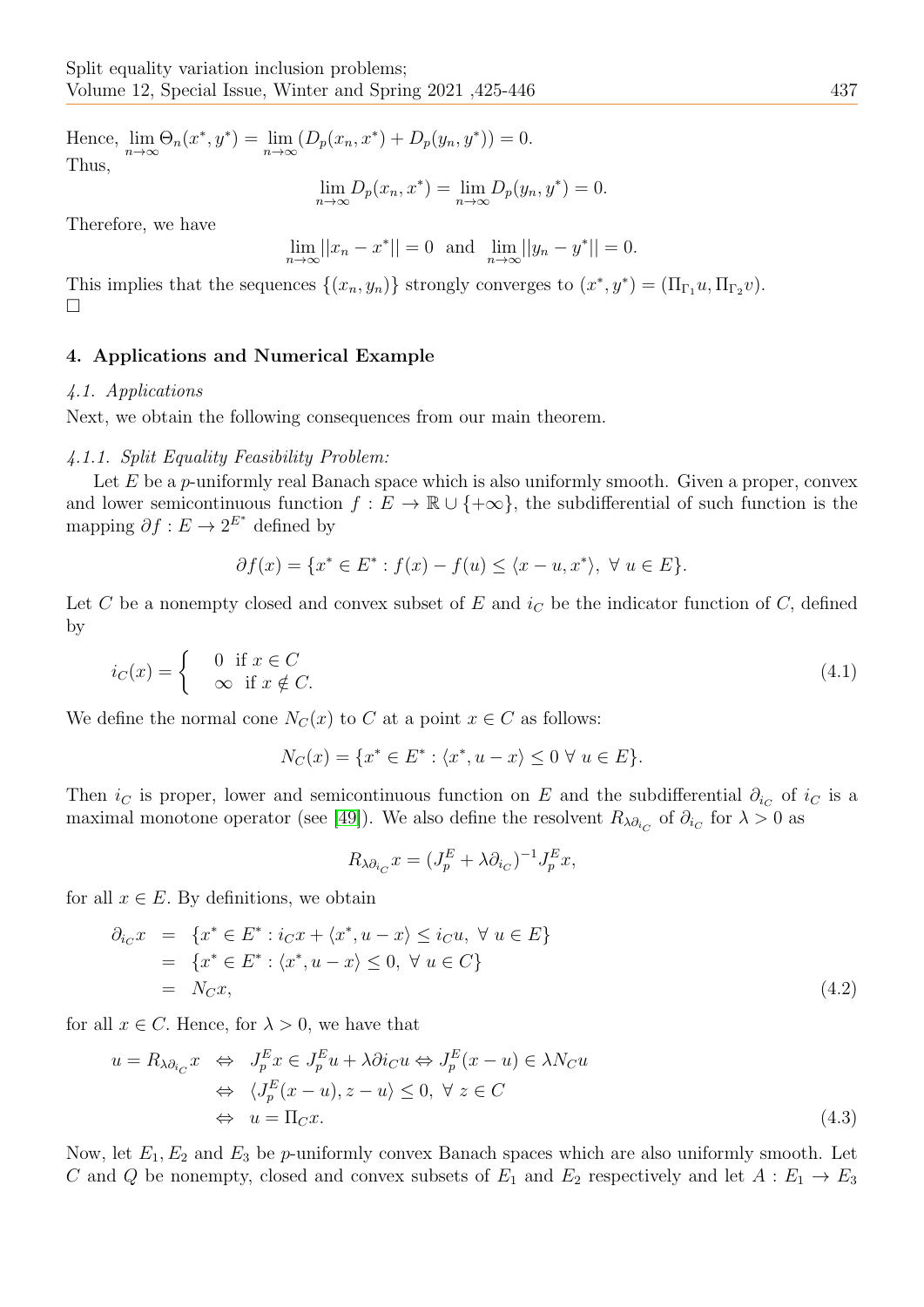Hence,  $\lim_{n \to \infty} \Theta_n(x^*, y^*) = \lim_{n \to \infty} (D_p(x_n, x^*) + D_p(y_n, y^*)) = 0.$ Thus,

$$
\lim_{n \to \infty} D_p(x_n, x^*) = \lim_{n \to \infty} D_p(y_n, y^*) = 0.
$$

Therefore, we have

$$
\lim_{n \to \infty} ||x_n - x^*|| = 0 \text{ and } \lim_{n \to \infty} ||y_n - y^*|| = 0.
$$

This implies that the sequences  $\{(x_n, y_n)\}\)$  strongly converges to  $(x^*, y^*) = (\Pi_{\Gamma_1} u, \Pi_{\Gamma_2} v)$ .  $\Box$ 

## 4. Applications and Numerical Example

#### 4.1. Applications

Next, we obtain the following consequences from our main theorem.

#### 4.1.1. Split Equality Feasibility Problem:

Let  $E$  be a p-uniformly real Banach space which is also uniformly smooth. Given a proper, convex and lower semicontinuous function  $f : E \to \mathbb{R} \cup \{+\infty\}$ , the subdifferential of such function is the mapping  $\partial f : E \to 2^{E^*}$  defined by

$$
\partial f(x) = \{x^* \in E^* : f(x) - f(u) \le \langle x - u, x^* \rangle, \ \forall \ u \in E\}.
$$

Let C be a nonempty closed and convex subset of E and  $i<sub>C</sub>$  be the indicator function of C, defined by

$$
i_C(x) = \begin{cases} 0 & \text{if } x \in C \\ \infty & \text{if } x \notin C. \end{cases}
$$
 (4.1)

We define the normal cone  $N_C(x)$  to C at a point  $x \in C$  as follows:

$$
N_C(x) = \{ x^* \in E^* : \langle x^*, u - x \rangle \le 0 \ \forall \ u \in E \}.
$$

Then  $i<sub>C</sub>$  is proper, lower and semicontinuous function on E and the subdifferential  $\partial_{i<sub>C</sub>}$  of  $i<sub>C</sub>$  is a maximal monotone operator (see [\[49\]](#page-20-18)). We also define the resolvent  $R_{\lambda\partial_{i_C}}$  of  $\partial_{i_C}$  for  $\lambda > 0$  as

$$
R_{\lambda \partial_{i_C}} x = (J_p^E + \lambda \partial_{i_C})^{-1} J_p^E x,
$$

for all  $x \in E$ . By definitions, we obtain

$$
\partial_{i_C} x = \{x^* \in E^* : i_C x + \langle x^*, u - x \rangle \le i_C u, \forall u \in E\}
$$
  
= 
$$
\{x^* \in E^* : \langle x^*, u - x \rangle \le 0, \forall u \in C\}
$$
  
= 
$$
N_C x,
$$
 (4.2)

for all  $x \in C$ . Hence, for  $\lambda > 0$ , we have that

$$
u = R_{\lambda \partial_{i_C}} x \Leftrightarrow J_p^E x \in J_p^E u + \lambda \partial i_C u \Leftrightarrow J_p^E (x - u) \in \lambda N_C u
$$
  
\n
$$
\Leftrightarrow \langle J_p^E (x - u), z - u \rangle \leq 0, \ \forall \ z \in C
$$
  
\n
$$
\Leftrightarrow u = \Pi_C x.
$$
\n(4.3)

Now, let  $E_1, E_2$  and  $E_3$  be p-uniformly convex Banach spaces which are also uniformly smooth. Let C and Q be nonempty, closed and convex subsets of  $E_1$  and  $E_2$  respectively and let  $A: E_1 \rightarrow E_3$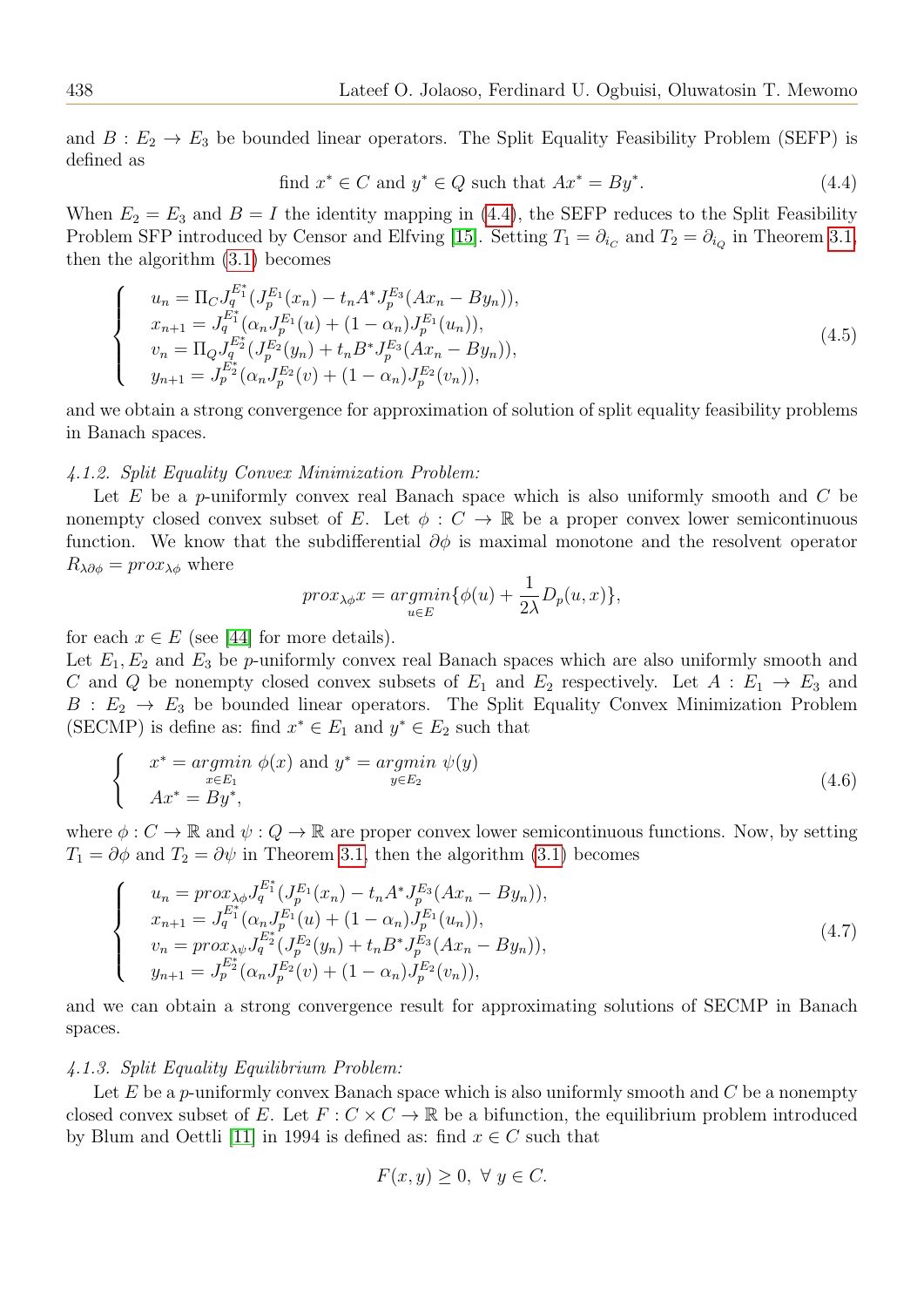and  $B: E_2 \to E_3$  be bounded linear operators. The Split Equality Feasibility Problem (SEFP) is defined as

<span id="page-13-0"></span>find 
$$
x^* \in C
$$
 and  $y^* \in Q$  such that  $Ax^* = By^*$ . (4.4)

When  $E_2 = E_3$  and  $B = I$  the identity mapping in [\(4.4\)](#page-13-0), the SEFP reduces to the Split Feasibility Problem SFP introduced by Censor and Elfving [\[15\]](#page-19-16). Setting  $T_1 = \partial_{i_C}$  and  $T_2 = \partial_{i_Q}$  in Theorem [3.1,](#page-5-4) then the algorithm [\(3.1\)](#page-5-3) becomes

$$
\begin{cases}\n u_n = \Pi_C J_q^{E_1^*} (J_p^{E_1}(x_n) - t_n A^* J_p^{E_3}(Ax_n - By_n)), \\
 x_{n+1} = J_q^{E_1^*} (\alpha_n J_p^{E_1}(u) + (1 - \alpha_n) J_p^{E_1}(u_n)), \\
 v_n = \Pi_Q J_q^{E_2^*} (J_p^{E_2}(y_n) + t_n B^* J_p^{E_3}(Ax_n - By_n)), \\
 y_{n+1} = J_p^{E_2^*} (\alpha_n J_p^{E_2}(v) + (1 - \alpha_n) J_p^{E_2}(v_n)),\n\end{cases} \tag{4.5}
$$

and we obtain a strong convergence for approximation of solution of split equality feasibility problems in Banach spaces.

## 4.1.2. Split Equality Convex Minimization Problem:

Let  $E$  be a p-uniformly convex real Banach space which is also uniformly smooth and  $C$  be nonempty closed convex subset of E. Let  $\phi : C \to \mathbb{R}$  be a proper convex lower semicontinuous function. We know that the subdifferential  $\partial \phi$  is maximal monotone and the resolvent operator  $R_{\lambda\partial\phi} = prox_{\lambda\phi}$  where

$$
prox_{\lambda \phi} x = \underset{u \in E}{argmin} \{ \phi(u) + \frac{1}{2\lambda} D_p(u, x) \},
$$

for each  $x \in E$  (see [\[44\]](#page-20-19) for more details).

Let  $E_1, E_2$  and  $E_3$  be p-uniformly convex real Banach spaces which are also uniformly smooth and C and Q be nonempty closed convex subsets of  $E_1$  and  $E_2$  respectively. Let  $A : E_1 \rightarrow E_3$  and  $B : E_2 \to E_3$  be bounded linear operators. The Split Equality Convex Minimization Problem (SECMP) is define as: find  $x^* \in E_1$  and  $y^* \in E_2$  such that

$$
\begin{cases}\n x^* = \underset{x \in E_1}{\operatorname{argmin}} \ \phi(x) \text{ and } y^* = \underset{y \in E_2}{\operatorname{argmin}} \ \psi(y) \\
 Ax^* = By^*,\n\end{cases}\n\tag{4.6}
$$

where  $\phi: C \to \mathbb{R}$  and  $\psi: Q \to \mathbb{R}$  are proper convex lower semicontinuous functions. Now, by setting  $T_1 = \partial \phi$  and  $T_2 = \partial \psi$  in Theorem [3.1,](#page-5-4) then the algorithm [\(3.1\)](#page-5-3) becomes

$$
\begin{cases}\n u_n = pr \alpha_{\lambda\phi} J_q^{E_1^*} (J_p^{E_1}(x_n) - t_n A^* J_p^{E_3}(Ax_n - By_n)), \\
 x_{n+1} = J_q^{E_1^*} (\alpha_n J_p^{E_1}(u) + (1 - \alpha_n) J_p^{E_1}(u_n)), \\
 v_n = pr \alpha_{\lambda\psi} J_q^{E_2^*} (J_p^{E_2}(y_n) + t_n B^* J_p^{E_3}(Ax_n - By_n)), \\
 y_{n+1} = J_p^{E_2^*} (\alpha_n J_p^{E_2}(v) + (1 - \alpha_n) J_p^{E_2}(v_n)),\n\end{cases} \tag{4.7}
$$

and we can obtain a strong convergence result for approximating solutions of SECMP in Banach spaces.

#### 4.1.3. Split Equality Equilibrium Problem:

Let E be a p-uniformly convex Banach space which is also uniformly smooth and  $C$  be a nonempty closed convex subset of E. Let  $F: C \times C \to \mathbb{R}$  be a bifunction, the equilibrium problem introduced by Blum and Oettli [\[11\]](#page-19-17) in 1994 is defined as: find  $x \in C$  such that

$$
F(x, y) \ge 0, \ \forall \ y \in C.
$$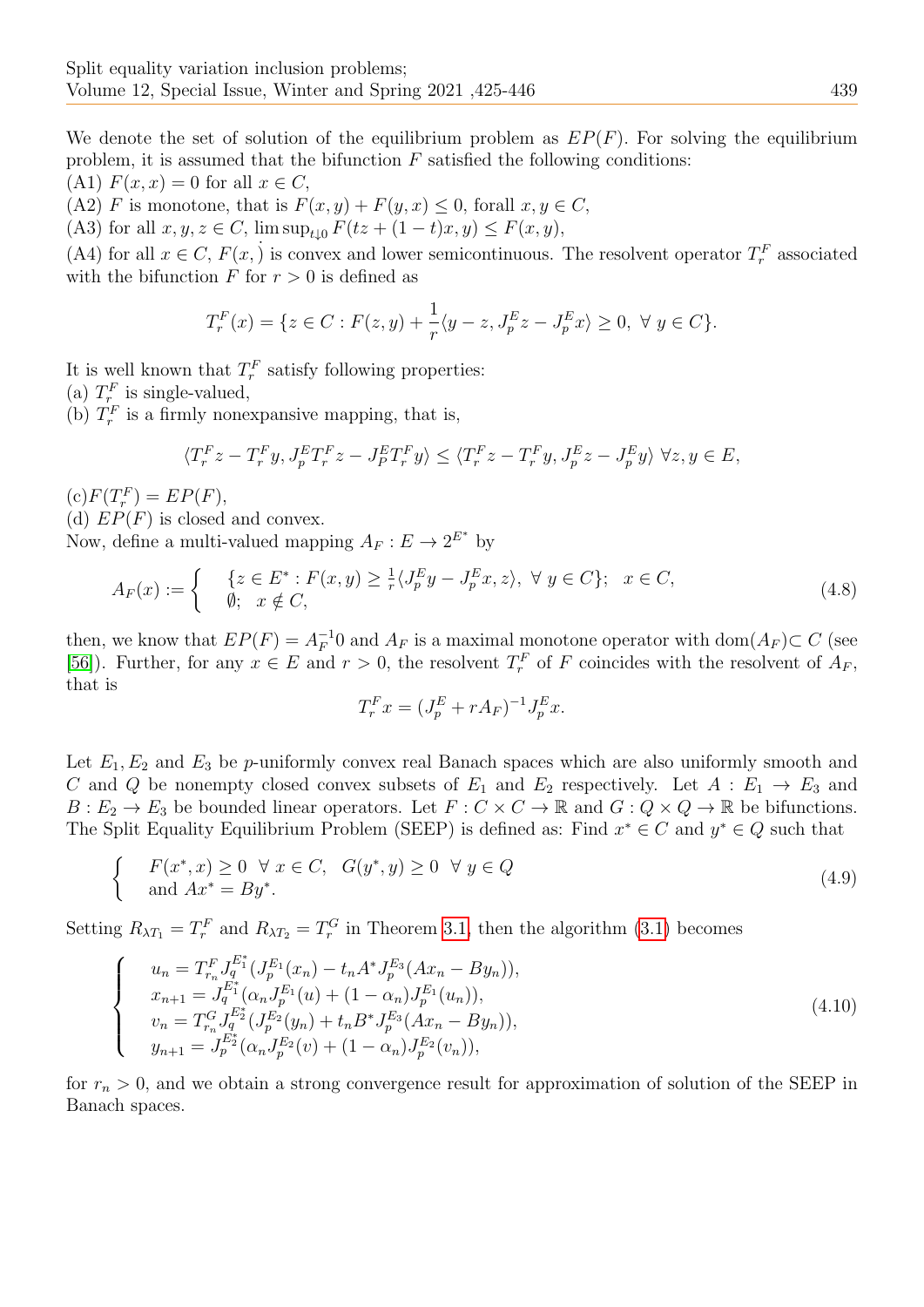We denote the set of solution of the equilibrium problem as  $EP(F)$ . For solving the equilibrium problem, it is assumed that the bifunction  $F$  satisfied the following conditions:

(A1)  $F(x, x) = 0$  for all  $x \in C$ ,

(A2) F is monotone, that is  $F(x, y) + F(y, x) \leq 0$ , forall  $x, y \in C$ ,

(A3) for all  $x, y, z \in C$ ,  $\limsup_{t \to 0} F(tz + (1-t)x, y) \leq F(x, y)$ ,

(A4) for all  $x \in C$ ,  $F(x, y)$  is convex and lower semicontinuous. The resolvent operator  $T_r^F$  associated with the bifunction  $F$  for  $r > 0$  is defined as

$$
T_r^F(x) = \{ z \in C : F(z, y) + \frac{1}{r} \langle y - z, J_p^E z - J_p^E x \rangle \ge 0, \ \forall \ y \in C \}.
$$

It is well known that  $T_r^F$  satisfy following properties:

(a)  $T_{r_{-}}^{F}$  is single-valued,

(b)  $T_r^F$  is a firmly nonexpansive mapping, that is,

$$
\langle T_r^F z - T_r^F y, J_p^E T_r^F z - J_p^E T_r^F y \rangle \le \langle T_r^F z - T_r^F y, J_p^E z - J_p^E y \rangle \ \forall z, y \in E,
$$

 $(c)F(T_r^F) = EP(F),$ 

(d)  $EP(F)$  is closed and convex.

Now, define a multi-valued mapping  $A_F : E \to 2^{E^*}$  by

$$
A_F(x) := \begin{cases} \n\{z \in E^* : F(x, y) \ge \frac{1}{r} \langle J_p^E y - J_p^E x, z \rangle, \ \forall \ y \in C \}; & x \in C, \\
\emptyset; & x \notin C,\n\end{cases} \n(4.8)
$$

then, we know that  $EP(F) = A_F^{-1}$  $F^{-1}$  and  $A_F$  is a maximal monotone operator with dom $(A_F) \subset C$  (see [\[56\]](#page-21-7)). Further, for any  $x \in E$  and  $r > 0$ , the resolvent  $T_r^F$  of F coincides with the resolvent of  $A_F$ , that is

$$
T_r^F x = (J_p^E + rA_F)^{-1} J_p^E x.
$$

Let  $E_1, E_2$  and  $E_3$  be p-uniformly convex real Banach spaces which are also uniformly smooth and C and Q be nonempty closed convex subsets of  $E_1$  and  $E_2$  respectively. Let  $A : E_1 \rightarrow E_3$  and  $B: E_2 \to E_3$  be bounded linear operators. Let  $F: C \times C \to \mathbb{R}$  and  $G: Q \times Q \to \mathbb{R}$  be bifunctions. The Split Equality Equilibrium Problem (SEEP) is defined as: Find  $x^* \in C$  and  $y^* \in Q$  such that

$$
\begin{cases}\nF(x^*,x) \ge 0 \quad \forall \ x \in C, \quad G(y^*,y) \ge 0 \quad \forall \ y \in Q \\
\text{and } Ax^* = By^*.\n\end{cases} \tag{4.9}
$$

Setting  $R_{\lambda T_1} = T_r^F$  and  $R_{\lambda T_2} = T_r^G$  in Theorem [3.1,](#page-5-4) then the algorithm [\(3.1\)](#page-5-3) becomes

$$
\begin{cases}\n u_n = T_{r_n}^F J_q^{E_1^*} (J_p^{E_1}(x_n) - t_n A^* J_p^{E_3}(Ax_n - By_n)), \\
 x_{n+1} = J_q^{E_1^*} (\alpha_n J_p^{E_1}(u) + (1 - \alpha_n) J_p^{E_1}(u_n)), \\
 v_n = T_{r_n}^G J_q^{E_2^*} (J_p^{E_2}(y_n) + t_n B^* J_p^{E_3}(Ax_n - By_n)), \\
 y_{n+1} = J_p^{E_2^*} (\alpha_n J_p^{E_2}(v) + (1 - \alpha_n) J_p^{E_2}(v_n)),\n\end{cases} \tag{4.10}
$$

for  $r_n > 0$ , and we obtain a strong convergence result for approximation of solution of the SEEP in Banach spaces.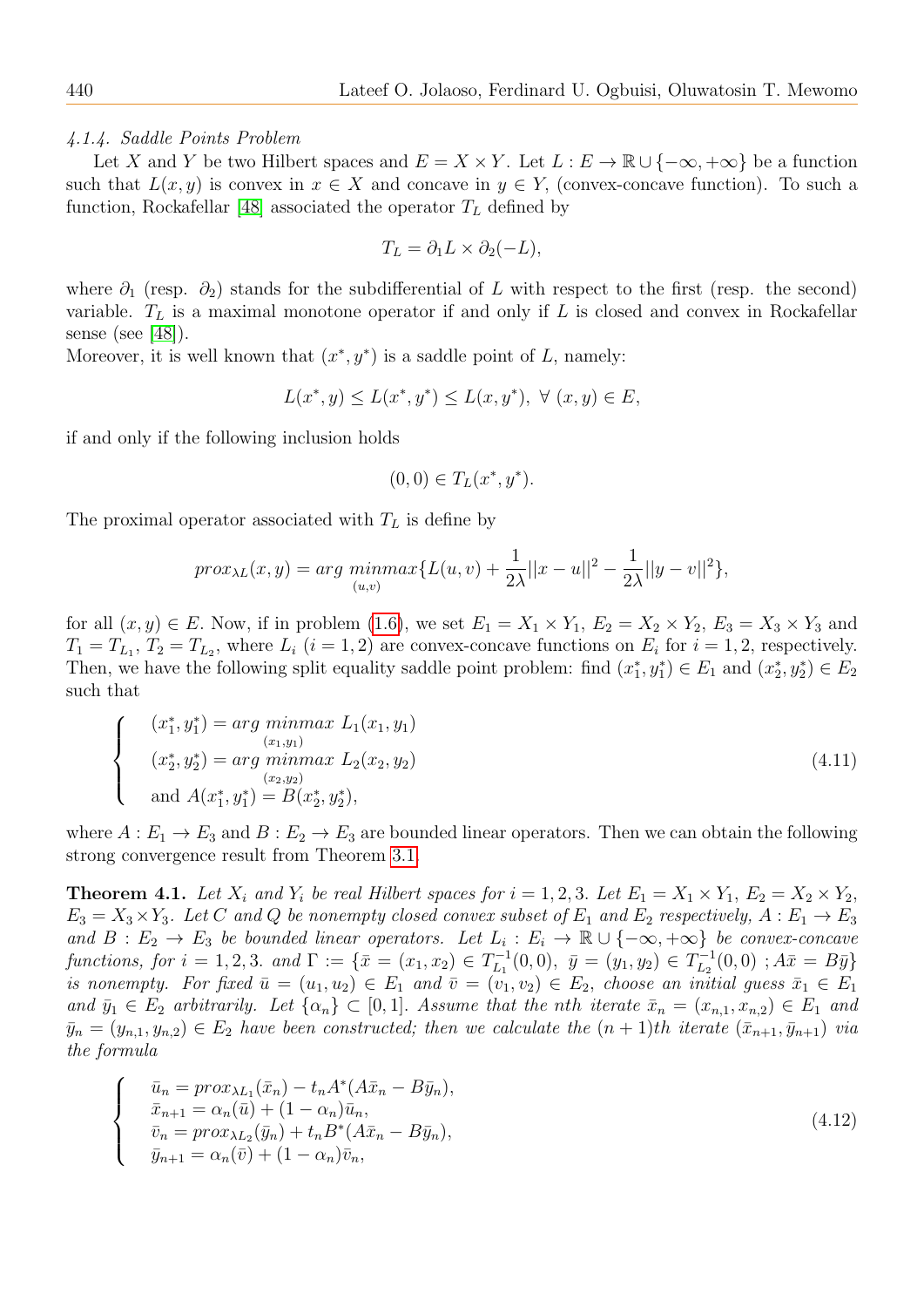4.1.4. Saddle Points Problem

Let X and Y be two Hilbert spaces and  $E = X \times Y$ . Let  $L : E \to \mathbb{R} \cup \{-\infty, +\infty\}$  be a function such that  $L(x, y)$  is convex in  $x \in X$  and concave in  $y \in Y$ , (convex-concave function). To such a function, Rockafellar [\[48\]](#page-20-7) associated the operator  $T_L$  defined by

$$
T_L = \partial_1 L \times \partial_2 (-L),
$$

where  $\partial_1$  (resp.  $\partial_2$ ) stands for the subdifferential of L with respect to the first (resp. the second) variable.  $T_L$  is a maximal monotone operator if and only if L is closed and convex in Rockafellar sense (see [\[48\]](#page-20-7)).

Moreover, it is well known that  $(x^*, y^*)$  is a saddle point of L, namely:

$$
L(x^*, y) \le L(x^*, y^*) \le L(x, y^*), \ \forall \ (x, y) \in E,
$$

if and only if the following inclusion holds

$$
(0,0) \in T_L(x^*,y^*).
$$

The proximal operator associated with  $T<sub>L</sub>$  is define by

$$
prox_{\lambda L}(x, y) = arg \min_{(u,v)} max\{L(u, v) + \frac{1}{2\lambda} ||x - u||^2 - \frac{1}{2\lambda} ||y - v||^2\},\
$$

for all  $(x, y) \in E$ . Now, if in problem [\(1.6\)](#page-2-0), we set  $E_1 = X_1 \times Y_1$ ,  $E_2 = X_2 \times Y_2$ ,  $E_3 = X_3 \times Y_3$  and  $T_1 = T_{L_1}, T_2 = T_{L_2}$ , where  $L_i$   $(i = 1, 2)$  are convex-concave functions on  $E_i$  for  $i = 1, 2$ , respectively. Then, we have the following split equality saddle point problem: find  $(x_1^*, y_1^*) \in E_1$  and  $(x_2^*, y_2^*) \in E_2$ such that

$$
\begin{cases}\n(x_1^*, y_1^*) = \arg\min_{\substack{(x_1, y_1) \\ (x_2, y_2^*)}} \max_{\substack{L_1(x_1, y_1) \\ (x_2, y_2)}} L_1(x_2, y_2)\n\end{cases}
$$
\n
$$
\text{(4.11)}
$$
\n
$$
\text{and } A(x_1^*, y_1^*) = B(x_2^*, y_2^*),
$$

where  $A: E_1 \to E_3$  and  $B: E_2 \to E_3$  are bounded linear operators. Then we can obtain the following strong convergence result from Theorem [3.1.](#page-5-4)

**Theorem 4.1.** Let  $X_i$  and  $Y_i$  be real Hilbert spaces for  $i = 1, 2, 3$ . Let  $E_1 = X_1 \times Y_1$ ,  $E_2 = X_2 \times Y_2$ ,  $E_3 = X_3 \times Y_3$ . Let C and Q be nonempty closed convex subset of  $E_1$  and  $E_2$  respectively,  $A : E_1 \to E_3$ and  $B: E_2 \to E_3$  be bounded linear operators. Let  $L_i: E_i \to \mathbb{R} \cup \{-\infty, +\infty\}$  be convex-concave functions, for  $i = 1, 2, 3$ . and  $\Gamma := \{ \bar{x} = (x_1, x_2) \in T_{L_1}^{-1} \}$  $\bar{y}_{L_1}^{-1}(0,0), \ \bar{y}=(y_1,y_2)\in T_{L_2}^{-1}$  $L_2^{-1}(0,0)$ ;  $A\bar{x} = B\bar{y}$ is nonempty. For fixed  $\bar{u} = (u_1, u_2) \in E_1$  and  $\bar{v} = (v_1, v_2) \in E_2$ , choose an initial guess  $\bar{x}_1 \in E_1$ and  $\bar{y}_1 \in E_2$  arbitrarily. Let  $\{\alpha_n\} \subset [0,1]$ . Assume that the nth iterate  $\bar{x}_n = (x_{n,1}, x_{n,2}) \in E_1$  and  $\bar{y}_n = (y_{n,1}, y_{n,2}) \in E_2$  have been constructed; then we calculate the  $(n + 1)$ th iterate  $(\bar{x}_{n+1}, \bar{y}_{n+1})$  via the formula

$$
\begin{cases}\n\bar{u}_n = pr \alpha_{\lambda L_1}(\bar{x}_n) - t_n A^* (A \bar{x}_n - B \bar{y}_n), \\
\bar{x}_{n+1} = \alpha_n(\bar{u}) + (1 - \alpha_n) \bar{u}_n, \\
\bar{v}_n = pr \alpha_{\lambda L_2}(\bar{y}_n) + t_n B^* (A \bar{x}_n - B \bar{y}_n), \\
\bar{y}_{n+1} = \alpha_n(\bar{v}) + (1 - \alpha_n) \bar{v}_n,\n\end{cases}
$$
\n(4.12)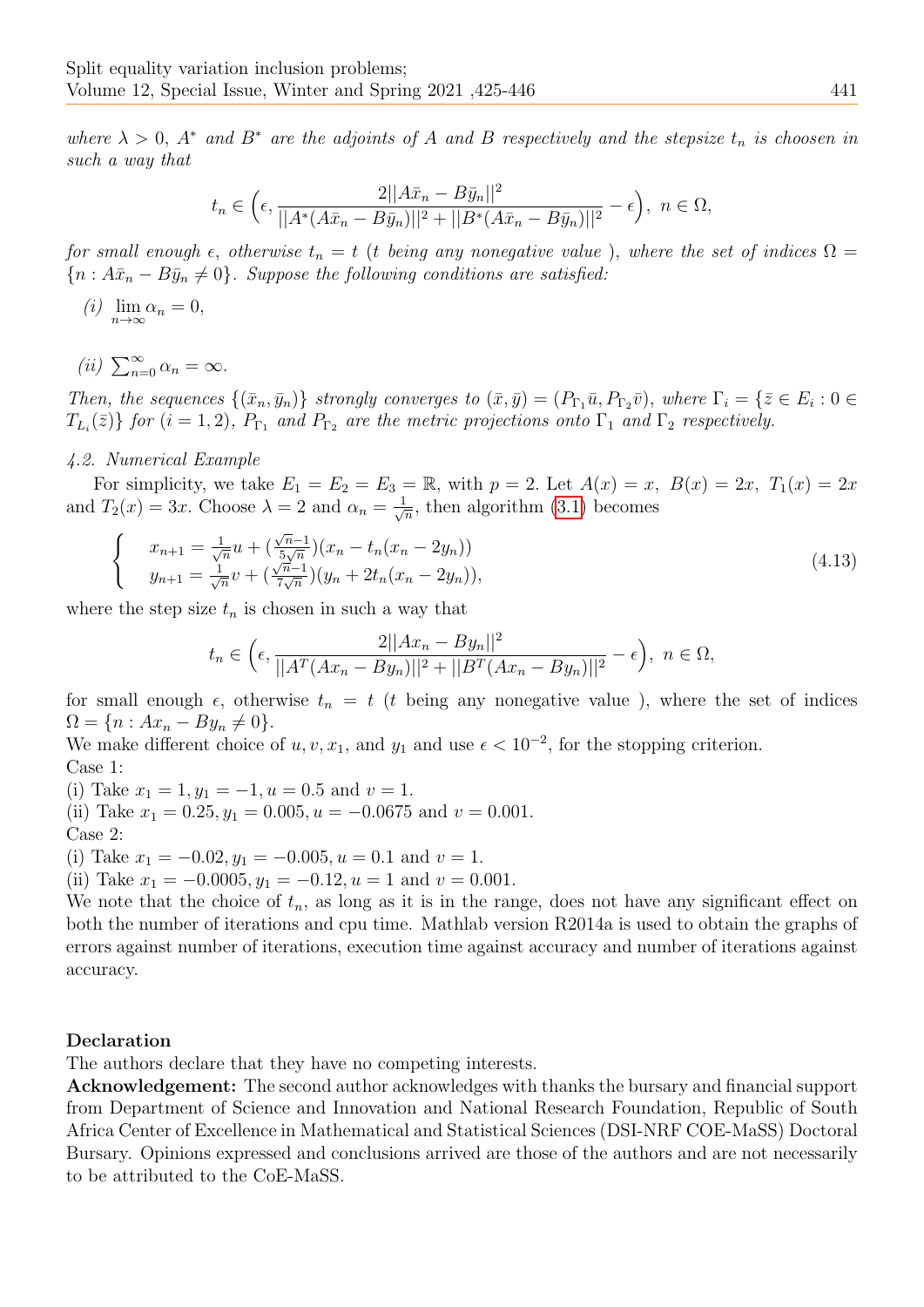where  $\lambda > 0$ ,  $A^*$  and  $B^*$  are the adjoints of A and B respectively and the stepsize  $t_n$  is choosen in such a way that

$$
t_n \in \left(\epsilon, \frac{2||A\bar{x}_n - B\bar{y}_n||^2}{||A^*(A\bar{x}_n - B\bar{y}_n)||^2 + ||B^*(A\bar{x}_n - B\bar{y}_n)||^2} - \epsilon\right), \ \ n \in \Omega,
$$

for small enough  $\epsilon$ , otherwise  $t_n = t$  (t being any nonegative value), where the set of indices  $\Omega =$  ${n : A\bar{x}_n - B\bar{y}_n \neq 0}.$  Suppose the following conditions are satisfied:

(i)  $\lim_{n\to\infty} \alpha_n = 0,$ 

(ii)  $\sum_{n=0}^{\infty} \alpha_n = \infty$ .

Then, the sequences  $\{(\bar{x}_n, \bar{y}_n)\}\$  strongly converges to  $(\bar{x}, \bar{y}) = (P_{\Gamma_1}\bar{u}, P_{\Gamma_2}\bar{v})$ , where  $\Gamma_i = \{\bar{z} \in E_i : 0 \in \mathbb{Z}\}$  $T_{L_i}(\bar{z})\}$  for  $(i = 1, 2)$ ,  $P_{\Gamma_1}$  and  $P_{\Gamma_2}$  are the metric projections onto  $\Gamma_1$  and  $\Gamma_2$  respectively.

# 4.2. Numerical Example

For simplicity, we take  $E_1 = E_2 = E_3 = \mathbb{R}$ , with  $p = 2$ . Let  $A(x) = x$ ,  $B(x) = 2x$ ,  $T_1(x) = 2x$ and  $T_2(x) = 3x$ . Choose  $\lambda = 2$  and  $\alpha_n = \frac{1}{\sqrt{n}}$  $\frac{1}{n}$ , then algorithm [\(3.1\)](#page-5-3) becomes

$$
\begin{cases}\n x_{n+1} = \frac{1}{\sqrt{n}} u + \left( \frac{\sqrt{n-1}}{5\sqrt{n}} \right) (x_n - t_n (x_n - 2y_n)) \\
 y_{n+1} = \frac{1}{\sqrt{n}} v + \left( \frac{\sqrt{n-1}}{7\sqrt{n}} \right) (y_n + 2t_n (x_n - 2y_n)),\n\end{cases} \tag{4.13}
$$

where the step size  $t_n$  is chosen in such a way that

$$
t_n \in \left(\epsilon, \frac{2||Ax_n - By_n||^2}{||A^T(Ax_n - By_n)||^2 + ||B^T(Ax_n - By_n)||^2} - \epsilon\right), \ n \in \Omega,
$$

for small enough  $\epsilon$ , otherwise  $t_n = t$  (t being any nonegative value), where the set of indices  $\Omega = \{n : Ax_n - By_n \neq 0\}.$ 

We make different choice of  $u, v, x_1$ , and  $y_1$  and use  $\epsilon < 10^{-2}$ , for the stopping criterion. Case 1:

(i) Take  $x_1 = 1, y_1 = -1, u = 0.5$  and  $v = 1$ .

(ii) Take  $x_1 = 0.25, y_1 = 0.005, u = -0.0675$  and  $v = 0.001$ .

Case 2:

(i) Take  $x_1 = -0.02, y_1 = -0.005, u = 0.1$  and  $v = 1$ .

(ii) Take  $x_1 = -0.0005, y_1 = -0.12, u = 1$  and  $v = 0.001$ .

We note that the choice of  $t_n$ , as long as it is in the range, does not have any significant effect on both the number of iterations and cpu time. Mathlab version R2014a is used to obtain the graphs of errors against number of iterations, execution time against accuracy and number of iterations against accuracy.

# Declaration

The authors declare that they have no competing interests.

Acknowledgement: The second author acknowledges with thanks the bursary and financial support from Department of Science and Innovation and National Research Foundation, Republic of South Africa Center of Excellence in Mathematical and Statistical Sciences (DSI-NRF COE-MaSS) Doctoral Bursary. Opinions expressed and conclusions arrived are those of the authors and are not necessarily to be attributed to the CoE-MaSS.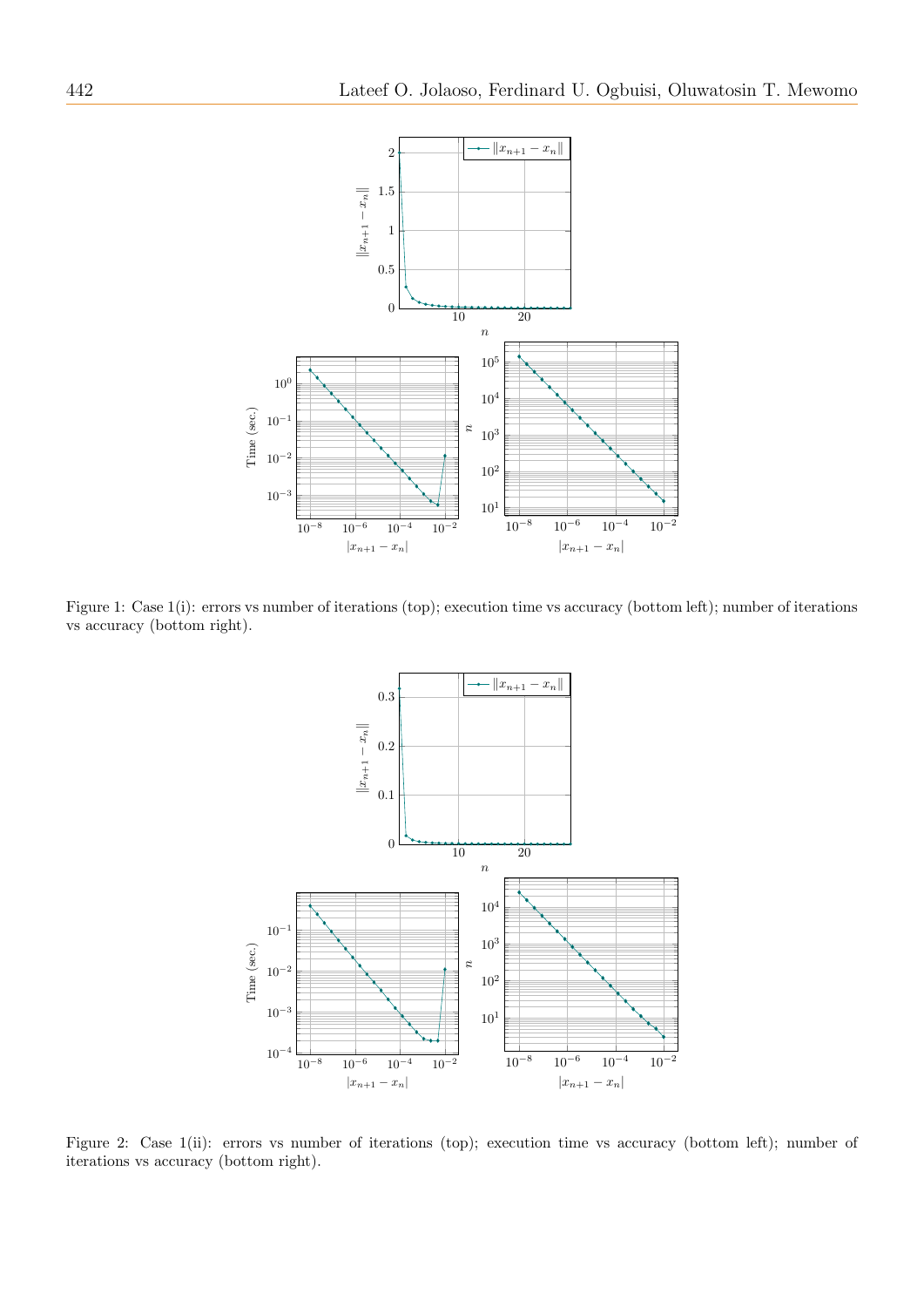

Figure 1: Case 1(i): errors vs number of iterations (top); execution time vs accuracy (bottom left); number of iterations vs accuracy (bottom right).



Figure 2: Case 1(ii): errors vs number of iterations (top); execution time vs accuracy (bottom left); number of iterations vs accuracy (bottom right).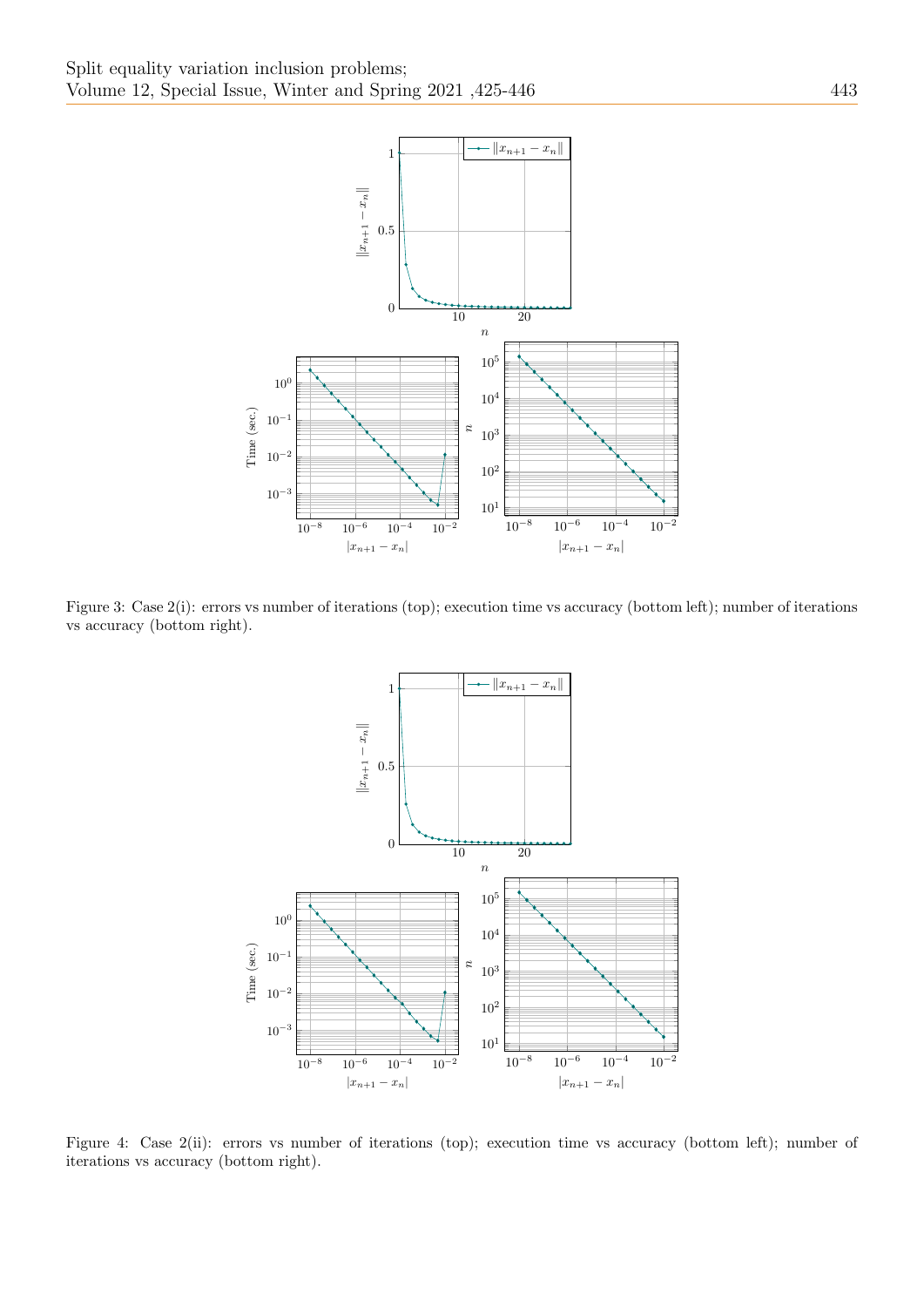

Figure 3: Case 2(i): errors vs number of iterations (top); execution time vs accuracy (bottom left); number of iterations vs accuracy (bottom right).



Figure 4: Case 2(ii): errors vs number of iterations (top); execution time vs accuracy (bottom left); number of iterations vs accuracy (bottom right).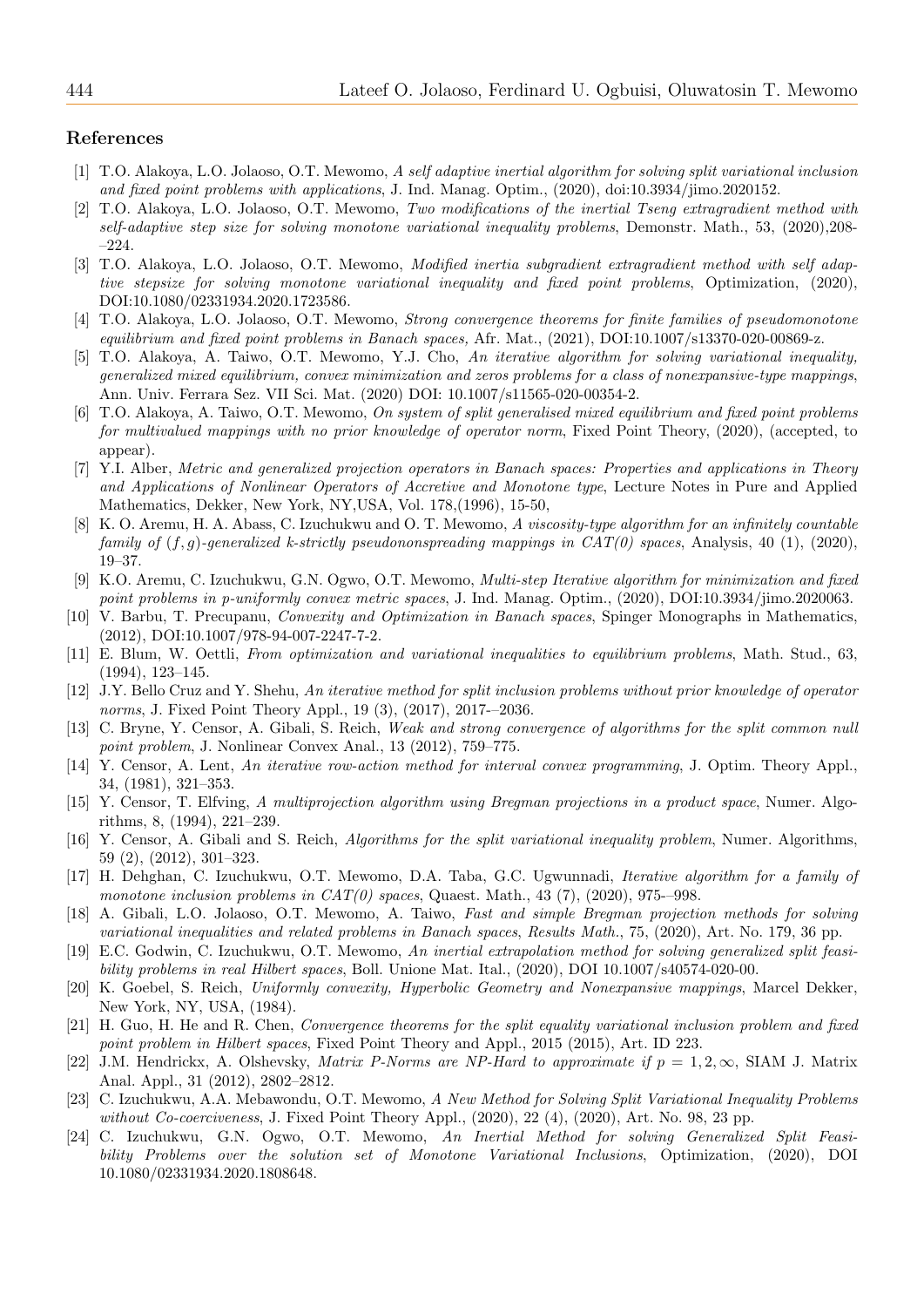#### References

- <span id="page-19-0"></span>[1] T.O. Alakoya, L.O. Jolaoso, O.T. Mewomo, A self adaptive inertial algorithm for solving split variational inclusion and fixed point problems with applications, J. Ind. Manag. Optim., (2020), doi:10.3934/jimo.2020152.
- <span id="page-19-7"></span>[2] T.O. Alakoya, L.O. Jolaoso, O.T. Mewomo, Two modifications of the inertial Tseng extragradient method with self-adaptive step size for solving monotone variational inequality problems, Demonstr. Math., 53, (2020),208- –224.
- <span id="page-19-8"></span>[3] T.O. Alakoya, L.O. Jolaoso, O.T. Mewomo, Modified inertia subgradient extragradient method with self adaptive stepsize for solving monotone variational inequality and fixed point problems, Optimization, (2020), DOI:10.1080/02331934.2020.1723586.
- <span id="page-19-14"></span>[4] T.O. Alakoya, L.O. Jolaoso, O.T. Mewomo, Strong convergence theorems for finite families of pseudomonotone equilibrium and fixed point problems in Banach spaces, Afr. Mat., (2021), DOI:10.1007/s13370-020-00869-z.
- [5] T.O. Alakoya, A. Taiwo, O.T. Mewomo, Y.J. Cho, An iterative algorithm for solving variational inequality, generalized mixed equilibrium, convex minimization and zeros problems for a class of nonexpansive-type mappings, Ann. Univ. Ferrara Sez. VII Sci. Mat. (2020) DOI: 10.1007/s11565-020-00354-2.
- <span id="page-19-1"></span>[6] T.O. Alakoya, A. Taiwo, O.T. Mewomo, On system of split generalised mixed equilibrium and fixed point problems for multivalued mappings with no prior knowledge of operator norm, Fixed Point Theory, (2020), (accepted, to appear).
- <span id="page-19-15"></span>[7] Y.I. Alber, Metric and generalized projection operators in Banach spaces: Properties and applications in Theory and Applications of Nonlinear Operators of Accretive and Monotone type, Lecture Notes in Pure and Applied Mathematics, Dekker, New York, NY,USA, Vol. 178,(1996), 15-50,
- <span id="page-19-2"></span>[8] K. O. Aremu, H. A. Abass, C. Izuchukwu and O. T. Mewomo, A viscosity-type algorithm for an infinitely countable family of  $(f, g)$ -generalized k-strictly pseudononspreading mappings in  $CAT(0)$  spaces, Analysis, 40 (1), (2020), 19–37.
- <span id="page-19-3"></span>[9] K.O. Aremu, C. Izuchukwu, G.N. Ogwo, O.T. Mewomo, Multi-step Iterative algorithm for minimization and fixed point problems in p-uniformly convex metric spaces, J. Ind. Manag. Optim., (2020), DOI:10.3934/jimo.2020063.
- [10] V. Barbu, T. Precupanu, Convexity and Optimization in Banach spaces, Spinger Monographs in Mathematics, (2012), DOI:10.1007/978-94-007-2247-7-2.
- <span id="page-19-17"></span>[11] E. Blum, W. Oettli, From optimization and variational inequalities to equilibrium problems, Math. Stud., 63, (1994), 123–145.
- <span id="page-19-12"></span>[12] J.Y. Bello Cruz and Y. Shehu, An iterative method for split inclusion problems without prior knowledge of operator norms, J. Fixed Point Theory Appl., 19 (3), (2017), 2017-–2036.
- <span id="page-19-5"></span>[13] C. Bryne, Y. Censor, A. Gibali, S. Reich, Weak and strong convergence of algorithms for the split common null point problem, J. Nonlinear Convex Anal., 13 (2012), 759–775.
- [14] Y. Censor, A. Lent, An iterative row-action method for interval convex programming, J. Optim. Theory Appl., 34, (1981), 321–353.
- <span id="page-19-16"></span>[15] Y. Censor, T. Elfving, A multiprojection algorithm using Bregman projections in a product space, Numer. Algorithms, 8, (1994), 221–239.
- [16] Y. Censor, A. Gibali and S. Reich, Algorithms for the split variational inequality problem, Numer. Algorithms, 59 (2), (2012), 301–323.
- <span id="page-19-4"></span>[17] H. Dehghan, C. Izuchukwu, O.T. Mewomo, D.A. Taba, G.C. Ugwunnadi, Iterative algorithm for a family of monotone inclusion problems in  $CAT(0)$  spaces, Quaest. Math., 43 (7), (2020), 975––998.
- <span id="page-19-9"></span>[18] A. Gibali, L.O. Jolaoso, O.T. Mewomo, A. Taiwo, Fast and simple Bregman projection methods for solving variational inequalities and related problems in Banach spaces, Results Math., 75, (2020), Art. No. 179, 36 pp.
- [19] E.C. Godwin, C. Izuchukwu, O.T. Mewomo, An inertial extrapolation method for solving generalized split feasibility problems in real Hilbert spaces, Boll. Unione Mat. Ital., (2020), DOI 10.1007/s40574-020-00.
- [20] K. Goebel, S. Reich, Uniformly convexity, Hyperbolic Geometry and Nonexpansive mappings, Marcel Dekker, New York, NY, USA, (1984).
- <span id="page-19-6"></span>[21] H. Guo, H. He and R. Chen, Convergence theorems for the split equality variational inclusion problem and fixed point problem in Hilbert spaces, Fixed Point Theory and Appl., 2015 (2015), Art. ID 223.
- <span id="page-19-13"></span>[22] J.M. Hendrickx, A. Olshevsky, *Matrix P-Norms are NP-Hard to approximate if*  $p = 1, 2, \infty$ , SIAM J. Matrix Anal. Appl., 31 (2012), 2802–2812.
- <span id="page-19-10"></span>[23] C. Izuchukwu, A.A. Mebawondu, O.T. Mewomo, A New Method for Solving Split Variational Inequality Problems without Co-coerciveness, J. Fixed Point Theory Appl., (2020), 22 (4), (2020), Art. No. 98, 23 pp.
- <span id="page-19-11"></span>[24] C. Izuchukwu, G.N. Ogwo, O.T. Mewomo, An Inertial Method for solving Generalized Split Feasibility Problems over the solution set of Monotone Variational Inclusions, Optimization, (2020), DOI 10.1080/02331934.2020.1808648.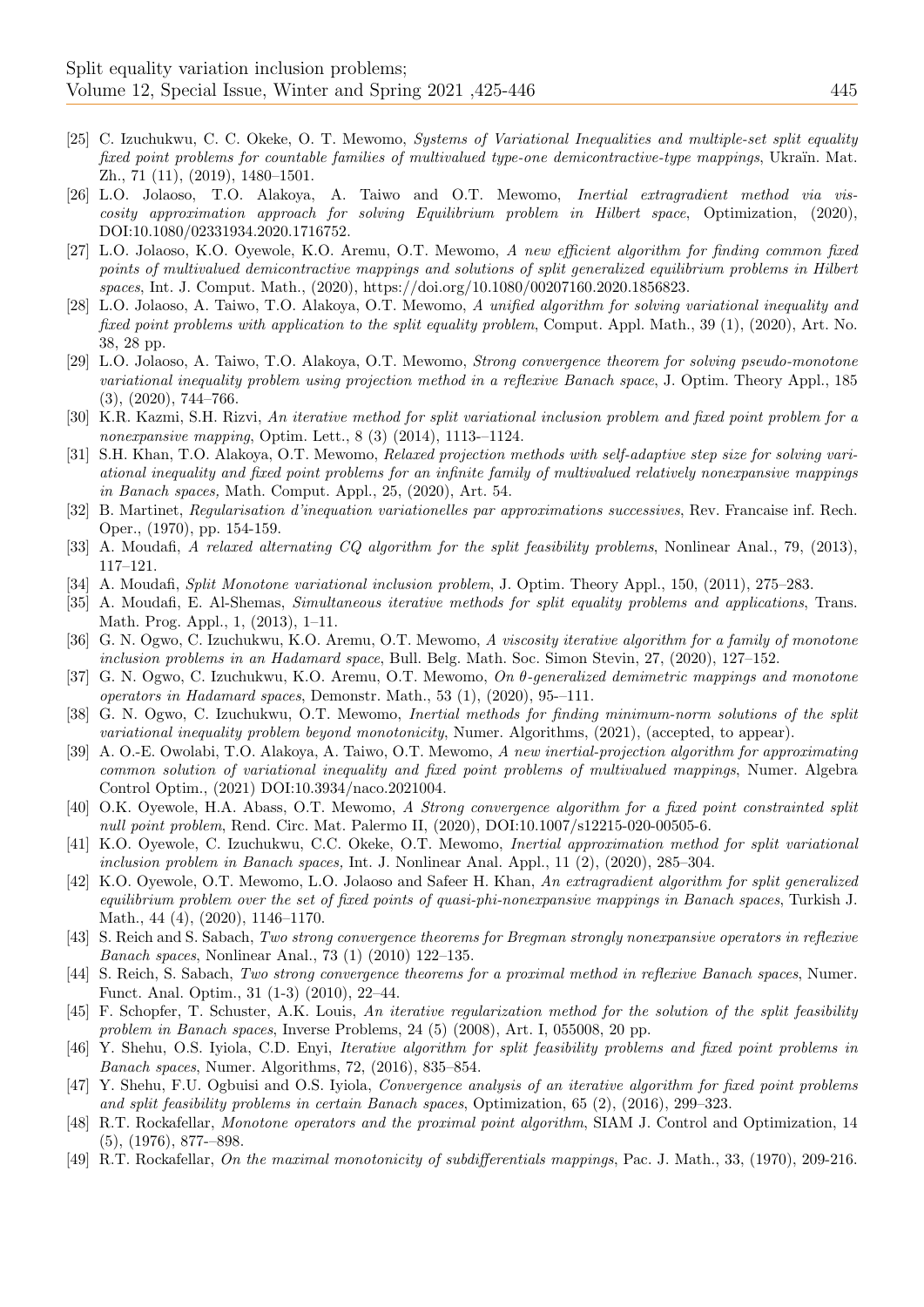- [25] C. Izuchukwu, C. C. Okeke, O. T. Mewomo, Systems of Variational Inequalities and multiple-set split equality fixed point problems for countable families of multivalued type-one demicontractive-type mappings, Ukraïn. Mat. Zh., 71 (11), (2019), 1480–1501.
- <span id="page-20-11"></span>[26] L.O. Jolaoso, T.O. Alakoya, A. Taiwo and O.T. Mewomo, Inertial extragradient method via viscosity approximation approach for solving Equilibrium problem in Hilbert space, Optimization, (2020), DOI:10.1080/02331934.2020.1716752.
- <span id="page-20-2"></span>[27] L.O. Jolaoso, K.O. Oyewole, K.O. Aremu, O.T. Mewomo, A new efficient algorithm for finding common fixed points of multivalued demicontractive mappings and solutions of split generalized equilibrium problems in Hilbert spaces, Int. J. Comput. Math., (2020), https://doi.org/10.1080/00207160.2020.1856823.
- <span id="page-20-12"></span>[28] L.O. Jolaoso, A. Taiwo, T.O. Alakoya, O.T. Mewomo, A unified algorithm for solving variational inequality and fixed point problems with application to the split equality problem, Comput. Appl. Math., 39 (1), (2020), Art. No. 38, 28 pp.
- <span id="page-20-13"></span>[29] L.O. Jolaoso, A. Taiwo, T.O. Alakoya, O.T. Mewomo, Strong convergence theorem for solving pseudo-monotone variational inequality problem using projection method in a reflexive Banach space, J. Optim. Theory Appl., 185 (3), (2020), 744–766.
- <span id="page-20-10"></span>[30] K.R. Kazmi, S.H. Rizvi, An iterative method for split variational inclusion problem and fixed point problem for a nonexpansive mapping, Optim. Lett., 8 (3) (2014), 1113-–1124.
- <span id="page-20-0"></span>[31] S.H. Khan, T.O. Alakoya, O.T. Mewomo, Relaxed projection methods with self-adaptive step size for solving variational inequality and fixed point problems for an infinite family of multivalued relatively nonexpansive mappings in Banach spaces, Math. Comput. Appl., 25, (2020), Art. 54.
- <span id="page-20-6"></span>[32] B. Martinet, Regularisation d'inequation variationelles par approximations successives, Rev. Francaise inf. Rech. Oper., (1970), pp. 154-159.
- [33] A. Moudafi, A relaxed alternating CQ algorithm for the split feasibility problems, Nonlinear Anal., 79, (2013), 117–121.
- <span id="page-20-8"></span>[34] A. Moudafi, Split Monotone variational inclusion problem, J. Optim. Theory Appl., 150, (2011), 275–283.
- [35] A. Moudafi, E. Al-Shemas, Simultaneous iterative methods for split equality problems and applications, Trans. Math. Prog. Appl., 1, (2013), 1–11.
- <span id="page-20-3"></span>[36] G. N. Ogwo, C. Izuchukwu, K.O. Aremu, O.T. Mewomo, A viscosity iterative algorithm for a family of monotone inclusion problems in an Hadamard space, Bull. Belg. Math. Soc. Simon Stevin, 27, (2020), 127–152.
- <span id="page-20-4"></span>[37] G. N. Ogwo, C. Izuchukwu, K.O. Aremu, O.T. Mewomo,  $On \theta$ -generalized demimetric mappings and monotone operators in Hadamard spaces, Demonstr. Math., 53 (1), (2020), 95-–111.
- <span id="page-20-5"></span>[38] G. N. Ogwo, C. Izuchukwu, O.T. Mewomo, Inertial methods for finding minimum-norm solutions of the split variational inequality problem beyond monotonicity, Numer. Algorithms, (2021), (accepted, to appear).
- [39] A. O.-E. Owolabi, T.O. Alakoya, A. Taiwo, O.T. Mewomo, A new inertial-projection algorithm for approximating common solution of variational inequality and fixed point problems of multivalued mappings, Numer. Algebra Control Optim., (2021) DOI:10.3934/naco.2021004.
- <span id="page-20-14"></span>[40] O.K. Oyewole, H.A. Abass, O.T. Mewomo, A Strong convergence algorithm for a fixed point constrainted split null point problem, Rend. Circ. Mat. Palermo II, (2020), DOI:10.1007/s12215-020-00505-6.
- <span id="page-20-9"></span>[41] K.O. Oyewole, C. Izuchukwu, C.C. Okeke, O.T. Mewomo, Inertial approximation method for split variational inclusion problem in Banach spaces, Int. J. Nonlinear Anal. Appl., 11 (2), (2020), 285–304.
- <span id="page-20-1"></span>[42] K.O. Oyewole, O.T. Mewomo, L.O. Jolaoso and Safeer H. Khan, An extragradient algorithm for split generalized equilibrium problem over the set of fixed points of quasi-phi-nonexpansive mappings in Banach spaces, Turkish J. Math., 44 (4), (2020), 1146–1170.
- <span id="page-20-17"></span>[43] S. Reich and S. Sabach, Two strong convergence theorems for Bregman strongly nonexpansive operators in reflexive Banach spaces, Nonlinear Anal., 73 (1) (2010) 122–135.
- <span id="page-20-19"></span>[44] S. Reich, S. Sabach, Two strong convergence theorems for a proximal method in reflexive Banach spaces, Numer. Funct. Anal. Optim., 31 (1-3) (2010), 22–44.
- <span id="page-20-15"></span>[45] F. Schopfer, T. Schuster, A.K. Louis, An iterative regularization method for the solution of the split feasibility problem in Banach spaces, Inverse Problems, 24 (5) (2008), Art. I, 055008, 20 pp.
- <span id="page-20-16"></span>[46] Y. Shehu, O.S. Iyiola, C.D. Enyi, Iterative algorithm for split feasibility problems and fixed point problems in Banach spaces, Numer. Algorithms, 72, (2016), 835–854.
- [47] Y. Shehu, F.U. Ogbuisi and O.S. Iyiola, Convergence analysis of an iterative algorithm for fixed point problems and split feasibility problems in certain Banach spaces, Optimization, 65 (2), (2016), 299–323.
- <span id="page-20-7"></span>[48] R.T. Rockafellar, Monotone operators and the proximal point algorithm, SIAM J. Control and Optimization, 14 (5), (1976), 877-–898.
- <span id="page-20-18"></span>[49] R.T. Rockafellar, On the maximal monotonicity of subdifferentials mappings, Pac. J. Math., 33, (1970), 209-216.